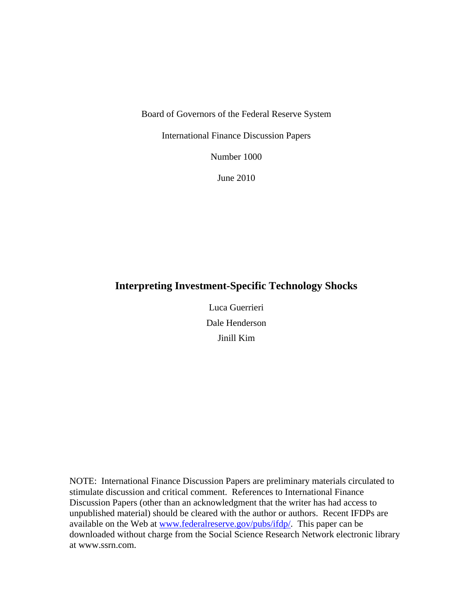Board of Governors of the Federal Reserve System

International Finance Discussion Papers

Number 1000

June 2010

## **Interpreting Investment-Specific Technology Shocks**

Luca Guerrieri Dale Henderson Jinill Kim

NOTE: International Finance Discussion Papers are preliminary materials circulated to stimulate discussion and critical comment. References to International Finance Discussion Papers (other than an acknowledgment that the writer has had access to unpublished material) should be cleared with the author or authors. Recent IFDPs are available on the Web at www.federalreserve.gov/pubs/ifdp/. This paper can be downloaded without charge from the Social Science Research Network electronic library at www.ssrn.com.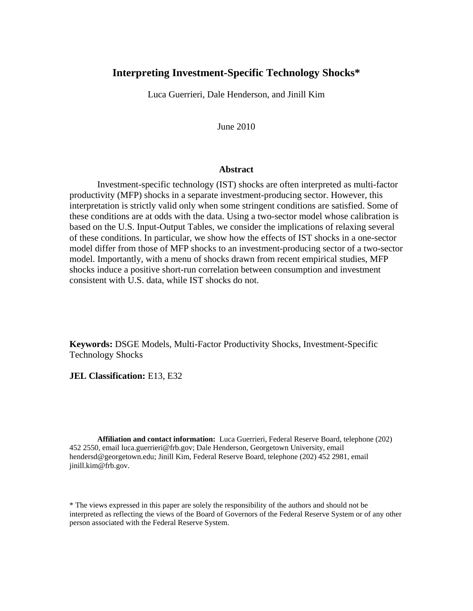## **Interpreting Investment-Specific Technology Shocks\***

Luca Guerrieri, Dale Henderson, and Jinill Kim

June 2010

#### **Abstract**

Investment-specific technology (IST) shocks are often interpreted as multi-factor productivity (MFP) shocks in a separate investment-producing sector. However, this interpretation is strictly valid only when some stringent conditions are satisfied. Some of these conditions are at odds with the data. Using a two-sector model whose calibration is based on the U.S. Input-Output Tables, we consider the implications of relaxing several of these conditions. In particular, we show how the effects of IST shocks in a one-sector model differ from those of MFP shocks to an investment-producing sector of a two-sector model. Importantly, with a menu of shocks drawn from recent empirical studies, MFP shocks induce a positive short-run correlation between consumption and investment consistent with U.S. data, while IST shocks do not.

**Keywords:** DSGE Models, Multi-Factor Productivity Shocks, Investment-Specific Technology Shocks

**JEL Classification:** E13, E32

**Affiliation and contact information:** Luca Guerrieri, Federal Reserve Board, telephone (202) 452 2550, email luca.guerrieri@frb.gov; Dale Henderson, Georgetown University, email hendersd@georgetown.edu; Jinill Kim, Federal Reserve Board, telephone (202) 452 2981, email jinill.kim@frb.gov.

\* The views expressed in this paper are solely the responsibility of the authors and should not be interpreted as reflecting the views of the Board of Governors of the Federal Reserve System or of any other person associated with the Federal Reserve System.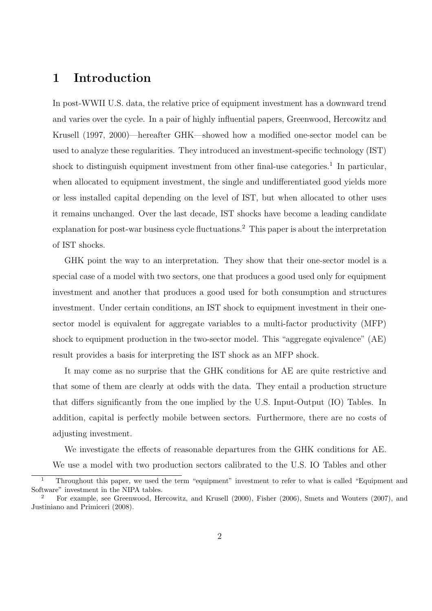# 1 Introduction

In post-WWII U.S. data, the relative price of equipment investment has a downward trend and varies over the cycle. In a pair of highly influential papers, Greenwood, Hercowitz and Krusell (1997, 2000)—hereafter GHK—showed how a modified one-sector model can be used to analyze these regularities. They introduced an investment-specific technology (IST) shock to distinguish equipment investment from other final-use categories.<sup>1</sup> In particular, when allocated to equipment investment, the single and undifferentiated good yields more or less installed capital depending on the level of IST, but when allocated to other uses it remains unchanged. Over the last decade, IST shocks have become a leading candidate explanation for post-war business cycle fluctuations.<sup>2</sup> This paper is about the interpretation of IST shocks.

GHK point the way to an interpretation. They show that their one-sector model is a special case of a model with two sectors, one that produces a good used only for equipment investment and another that produces a good used for both consumption and structures investment. Under certain conditions, an IST shock to equipment investment in their onesector model is equivalent for aggregate variables to a multi-factor productivity (MFP) shock to equipment production in the two-sector model. This "aggregate eqivalence" (AE) result provides a basis for interpreting the IST shock as an MFP shock.

It may come as no surprise that the GHK conditions for AE are quite restrictive and that some of them are clearly at odds with the data. They entail a production structure that differs significantly from the one implied by the U.S. Input-Output (IO) Tables. In addition, capital is perfectly mobile between sectors. Furthermore, there are no costs of adjusting investment.

We investigate the effects of reasonable departures from the GHK conditions for AE.

We use a model with two production sectors calibrated to the U.S. IO Tables and other

<sup>1</sup> Throughout this paper, we used the term "equipment" investment to refer to what is called "Equipment and Software" investment in the NIPA tables.

<sup>2</sup> For example, see Greenwood, Hercowitz, and Krusell (2000), Fisher (2006), Smets and Wouters (2007), and Justiniano and Primiceri (2008).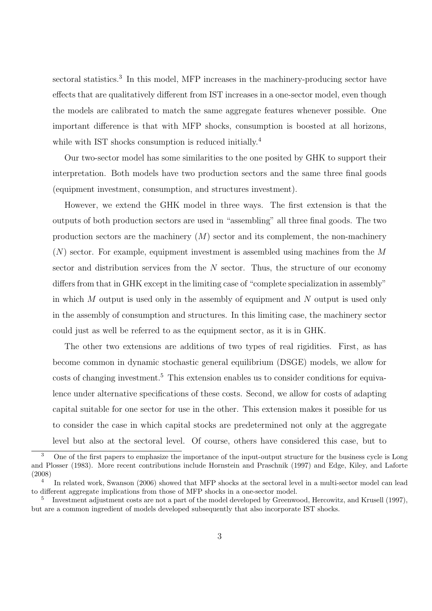sectoral statistics.<sup>3</sup> In this model, MFP increases in the machinery-producing sector have effects that are qualitatively different from IST increases in a one-sector model, even though the models are calibrated to match the same aggregate features whenever possible. One important difference is that with MFP shocks, consumption is boosted at all horizons, while with IST shocks consumption is reduced initially.<sup>4</sup>

Our two-sector model has some similarities to the one posited by GHK to support their interpretation. Both models have two production sectors and the same three final goods (equipment investment, consumption, and structures investment).

However, we extend the GHK model in three ways. The first extension is that the outputs of both production sectors are used in "assembling" all three final goods. The two production sectors are the machinery  $(M)$  sector and its complement, the non-machinery  $(N)$  sector. For example, equipment investment is assembled using machines from the M sector and distribution services from the  $N$  sector. Thus, the structure of our economy differs from that in GHK except in the limiting case of "complete specialization in assembly" in which  $M$  output is used only in the assembly of equipment and  $N$  output is used only in the assembly of consumption and structures. In this limiting case, the machinery sector could just as well be referred to as the equipment sector, as it is in GHK.

The other two extensions are additions of two types of real rigidities. First, as has become common in dynamic stochastic general equilibrium (DSGE) models, we allow for costs of changing investment.<sup>5</sup> This extension enables us to consider conditions for equivalence under alternative specifications of these costs. Second, we allow for costs of adapting capital suitable for one sector for use in the other. This extension makes it possible for us to consider the case in which capital stocks are predetermined not only at the aggregate level but also at the sectoral level. Of course, others have considered this case, but to

<sup>&</sup>lt;sup>3</sup> One of the first papers to emphasize the importance of the input-output structure for the business cycle is Long and Plosser (1983). More recent contributions include Hornstein and Praschnik (1997) and Edge, Kiley, and Laforte (2008)

<sup>4</sup> In related work, Swanson (2006) showed that MFP shocks at the sectoral level in a multi-sector model can lead to different aggregate implications from those of MFP shocks in a one-sector model.

<sup>&</sup>lt;sup>5</sup> Investment adjustment costs are not a part of the model developed by Greenwood, Hercowitz, and Krusell (1997), but are a common ingredient of models developed subsequently that also incorporate IST shocks.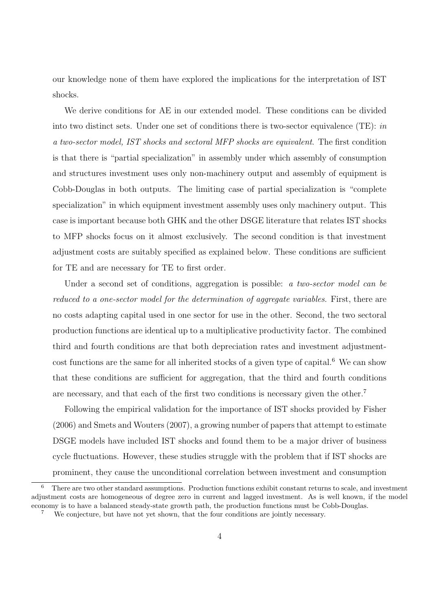our knowledge none of them have explored the implications for the interpretation of IST shocks.

We derive conditions for AE in our extended model. These conditions can be divided into two distinct sets. Under one set of conditions there is two-sector equivalence (TE): in a two-sector model, IST shocks and sectoral MFP shocks are equivalent. The first condition is that there is "partial specialization" in assembly under which assembly of consumption and structures investment uses only non-machinery output and assembly of equipment is Cobb-Douglas in both outputs. The limiting case of partial specialization is "complete specialization" in which equipment investment assembly uses only machinery output. This case is important because both GHK and the other DSGE literature that relates IST shocks to MFP shocks focus on it almost exclusively. The second condition is that investment adjustment costs are suitably specified as explained below. These conditions are sufficient for TE and are necessary for TE to first order.

Under a second set of conditions, aggregation is possible: a two-sector model can be reduced to a one-sector model for the determination of aggregate variables. First, there are no costs adapting capital used in one sector for use in the other. Second, the two sectoral production functions are identical up to a multiplicative productivity factor. The combined third and fourth conditions are that both depreciation rates and investment adjustmentcost functions are the same for all inherited stocks of a given type of capital.<sup>6</sup> We can show that these conditions are sufficient for aggregation, that the third and fourth conditions are necessary, and that each of the first two conditions is necessary given the other.<sup>7</sup>

Following the empirical validation for the importance of IST shocks provided by Fisher (2006) and Smets and Wouters (2007), a growing number of papers that attempt to estimate DSGE models have included IST shocks and found them to be a major driver of business cycle fluctuations. However, these studies struggle with the problem that if IST shocks are prominent, they cause the unconditional correlation between investment and consumption

<sup>6</sup> There are two other standard assumptions. Production functions exhibit constant returns to scale, and investment adjustment costs are homogeneous of degree zero in current and lagged investment. As is well known, if the model economy is to have a balanced steady-state growth path, the production functions must be Cobb-Douglas.

We conjecture, but have not yet shown, that the four conditions are jointly necessary.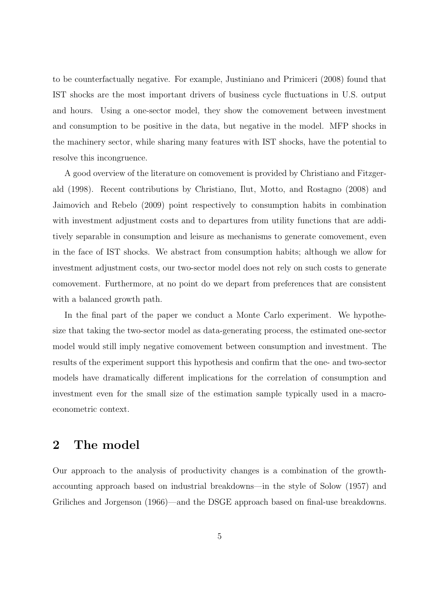to be counterfactually negative. For example, Justiniano and Primiceri (2008) found that IST shocks are the most important drivers of business cycle fluctuations in U.S. output and hours. Using a one-sector model, they show the comovement between investment and consumption to be positive in the data, but negative in the model. MFP shocks in the machinery sector, while sharing many features with IST shocks, have the potential to resolve this incongruence.

A good overview of the literature on comovement is provided by Christiano and Fitzgerald (1998). Recent contributions by Christiano, Ilut, Motto, and Rostagno (2008) and Jaimovich and Rebelo (2009) point respectively to consumption habits in combination with investment adjustment costs and to departures from utility functions that are additively separable in consumption and leisure as mechanisms to generate comovement, even in the face of IST shocks. We abstract from consumption habits; although we allow for investment adjustment costs, our two-sector model does not rely on such costs to generate comovement. Furthermore, at no point do we depart from preferences that are consistent with a balanced growth path.

In the final part of the paper we conduct a Monte Carlo experiment. We hypothesize that taking the two-sector model as data-generating process, the estimated one-sector model would still imply negative comovement between consumption and investment. The results of the experiment support this hypothesis and confirm that the one- and two-sector models have dramatically different implications for the correlation of consumption and investment even for the small size of the estimation sample typically used in a macroeconometric context.

## 2 The model

Our approach to the analysis of productivity changes is a combination of the growthaccounting approach based on industrial breakdowns—in the style of Solow (1957) and Griliches and Jorgenson (1966)—and the DSGE approach based on final-use breakdowns.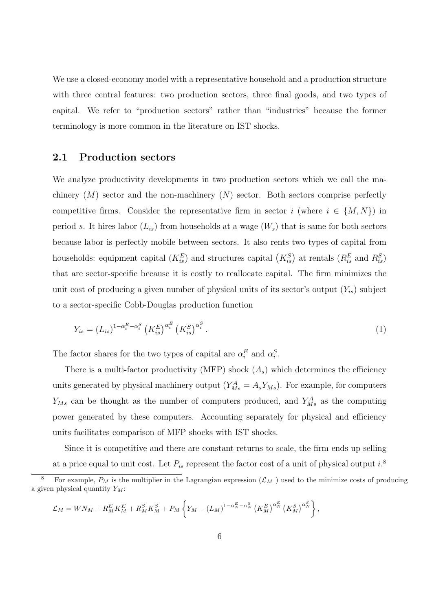We use a closed-economy model with a representative household and a production structure with three central features: two production sectors, three final goods, and two types of capital. We refer to "production sectors" rather than "industries" because the former terminology is more common in the literature on IST shocks.

#### 2.1 Production sectors

We analyze productivity developments in two production sectors which we call the machinery  $(M)$  sector and the non-machinery  $(N)$  sector. Both sectors comprise perfectly competitive firms. Consider the representative firm in sector i (where  $i \in \{M, N\}$ ) in period s. It hires labor  $(L_{is})$  from households at a wage  $(W_s)$  that is same for both sectors because labor is perfectly mobile between sectors. It also rents two types of capital from households: equipment capital  $(K_{is}^E)$  and structures capital  $(K_{is}^S)$  at rentals  $(R_{is}^E$  and  $R_{is}^S)$ that are sector-specific because it is costly to reallocate capital. The firm minimizes the unit cost of producing a given number of physical units of its sector's output  $(Y_{is})$  subject to a sector-specific Cobb-Douglas production function

$$
Y_{is} = (L_{is})^{1 - \alpha_i^E - \alpha_i^S} \left( K_{is}^E \right)^{\alpha_i^E} \left( K_{is}^S \right)^{\alpha_i^S} . \tag{1}
$$

The factor shares for the two types of capital are  $\alpha_i^E$  and  $\alpha_i^S$ .

There is a multi-factor productivity (MFP) shock  $(A_s)$  which determines the efficiency units generated by physical machinery output  $(Y_{Ms}^A = A_s Y_{Ms})$ . For example, for computers  $Y_{Ms}$  can be thought as the number of computers produced, and  $Y_{Ms}^A$  as the computing power generated by these computers. Accounting separately for physical and efficiency units facilitates comparison of MFP shocks with IST shocks.

Since it is competitive and there are constant returns to scale, the firm ends up selling at a price equal to unit cost. Let  $P_{is}$  represent the factor cost of a unit of physical output  $i$ .<sup>8</sup>

$$
\mathcal{L}_M = W N_M + R_M^E K_M^E + R_M^S K_M^S + P_M \left\{ Y_M - (L_M)^{1-\alpha_N^E - \alpha_N^S} \left( K_M^E \right)^{\alpha_N^E} \left( K_M^S \right)^{\alpha_N^S} \right\},
$$

For example,  $P_M$  is the multiplier in the Lagrangian expression  $(\mathcal{L}_M)$  used to the minimize costs of producing a given physical quantity  $Y_M$ :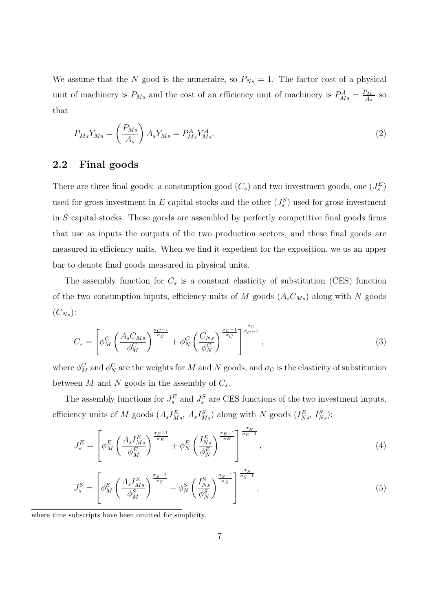We assume that the N good is the numeraire, so  $P_{Ns} = 1$ . The factor cost of a physical unit of machinery is  $P_{Ms}$  and the cost of an efficiency unit of machinery is  $P_{Ms}^A = \frac{P_{Ms}}{A_s}$  $\frac{\Delta_{Ms}}{A_s}$  so that

$$
P_{Ms}Y_{Ms} = \left(\frac{P_{Ms}}{A_s}\right)A_sY_{Ms} = P_{Ms}^A Y_{Ms}^A.
$$
\n<sup>(2)</sup>

## 2.2 Final goods

There are three final goods: a consumption good  $(C_s)$  and two investment goods, one  $(J_s^E)$ used for gross investment in E capital stocks and the other  $(J_s^S)$  used for gross investment in S capital stocks. These goods are assembled by perfectly competitive final goods firms that use as inputs the outputs of the two production sectors, and these final goods are measured in efficiency units. When we find it expedient for the exposition, we us an upper bar to denote final goods measured in physical units.

The assembly function for  $C_s$  is a constant elasticity of substitution (CES) function of the two consumption inputs, efficiency units of M goods  $(A_s C_{Ms})$  along with N goods  $(C_{Ns})$ :

$$
C_s = \left[ \phi_M^C \left( \frac{A_s C_{Ms}}{\phi_M^C} \right)^{\frac{\sigma_C - 1}{\sigma_C}} + \phi_N^C \left( \frac{C_{Ns}}{\phi_N^C} \right)^{\frac{\sigma_C - 1}{\sigma_C}} \right]^{\frac{\sigma_C}{\sigma_C - 1}}, \tag{3}
$$

where  $\phi_M^C$  and  $\phi_N^C$  are the weights for  $M$  and  $N$  goods, and  $\sigma_C$  is the elasticity of substitution between  $M$  and  $N$  goods in the assembly of  $C_s$ .

The assembly functions for  $J_s^E$  and  $J_s^S$  are CES functions of the two investment inputs, efficiency units of M goods  $(A_s I_{Ms}^E, A_s I_{Ms}^S)$  along with N goods  $(I_{Ns}^E, I_{Ns}^S)$ :

$$
J_s^E = \left[ \phi_M^E \left( \frac{A_s I_{Ms}^E}{\phi_M^E} \right)^{\frac{\sigma_E - 1}{\sigma_E}} + \phi_N^E \left( \frac{I_{Ns}^E}{\phi_N^E} \right)^{\frac{\sigma_E - 1}{\sigma_E}} \right]^{\frac{\sigma_E}{\sigma_E - 1}}, \tag{4}
$$

$$
J_s^S = \left[ \phi_M^S \left( \frac{A_s I_{Ms}^S}{\phi_M^S} \right)^{\frac{\sigma_S - 1}{\sigma_S}} + \phi_N^S \left( \frac{I_{Ns}^S}{\phi_N^S} \right)^{\frac{\sigma_S - 1}{\sigma_S}} \right]^{\frac{\sigma_S}{\sigma_S - 1}},\tag{5}
$$

where time subscripts have been omitted for simplicity.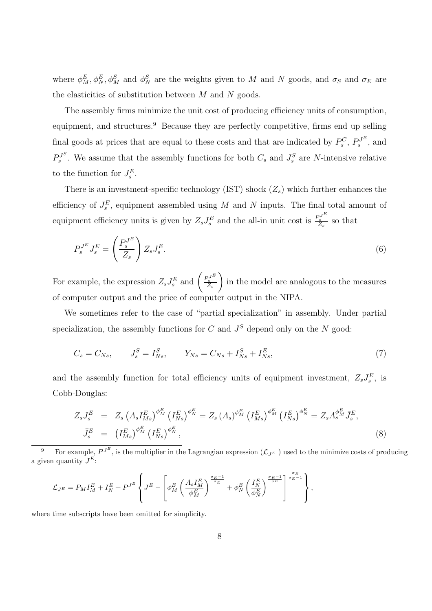where  $\phi_M^E, \phi_N^E, \phi_M^S$  and  $\phi_N^S$  are the weights given to M and N goods, and  $\sigma_S$  and  $\sigma_E$  are the elasticities of substitution between  $M$  and  $N$  goods.

The assembly firms minimize the unit cost of producing efficiency units of consumption, equipment, and structures.<sup>9</sup> Because they are perfectly competitive, firms end up selling final goods at prices that are equal to these costs and that are indicated by  $P_s^C$ ,  $P_s^{J^E}$  $s^{J^E}$ , and  $P^{J^S}_s$  $s^{J^S}$ . We assume that the assembly functions for both  $C_s$  and  $J_s^S$  are N-intensive relative to the function for  $J_s^E$ .

There is an investment-specific technology (IST) shock  $(Z_s)$  which further enhances the efficiency of  $J_s^E$ , equipment assembled using M and N inputs. The final total amount of equipment efficiency units is given by  $Z_s J_s^E$  and the all-in unit cost is  $\frac{P_s^{J^E}}{Z_s}$  so that

$$
P_s^{J^E} J_s^E = \left(\frac{P_s^{J^E}}{Z_s}\right) Z_s J_s^E. \tag{6}
$$

For example, the expression  $Z_s J_s^E$  and  $\left(\frac{P_s^J}{Z_s}\right)$ in the model are analogous to the measures of computer output and the price of computer output in the NIPA.

We sometimes refer to the case of "partial specialization" in assembly. Under partial specialization, the assembly functions for C and  $J<sup>S</sup>$  depend only on the N good:

$$
C_s = C_{Ns}, \t J_s^S = I_{Ns}^S, \t Y_{Ns} = C_{Ns} + I_{Ns}^S + I_{Ns}^E,
$$
\t(7)

and the assembly function for total efficiency units of equipment investment,  $Z_s J_s^E$ , is Cobb-Douglas:

$$
Z_s J_s^E = Z_s \left( A_s I_{Ms}^E \right)^{\phi_M^E} \left( I_{Ns}^E \right)^{\phi_N^E} = Z_s \left( A_s \right)^{\phi_M^E} \left( I_{Ms}^E \right)^{\phi_M^E} \left( I_{Ns}^E \right)^{\phi_N^E} = Z_s A_s^{\phi_M^E} \bar{J}_s^E,
$$
\n
$$
\bar{J}_s^E = \left( I_{Ms}^E \right)^{\phi_M^E} \left( I_{Ns}^E \right)^{\phi_N^E},
$$
\n(8)

<sup>9</sup> For example,  $P^{J^E}$ , is the multiplier in the Lagrangian expression  $(\mathcal{L}_{J^E})$  used to the minimize costs of producing a given quantity  $J^E$ :

$$
\mathcal{L}_{J^E} = P_M I_M^E + I_N^E + P^{J^E} \left\{ J^E - \left[ \phi_M^E \left( \frac{A_s I_M^E}{\phi_M^E} \right)^{\frac{\sigma_E - 1}{\sigma_E}} + \phi_N^E \left( \frac{I_N^E}{\phi_N^E} \right)^{\frac{\sigma_E - 1}{\sigma_E - 1}} \right]^{\frac{\sigma_E}{\sigma_E - 1}} \right\},
$$

where time subscripts have been omitted for simplicity.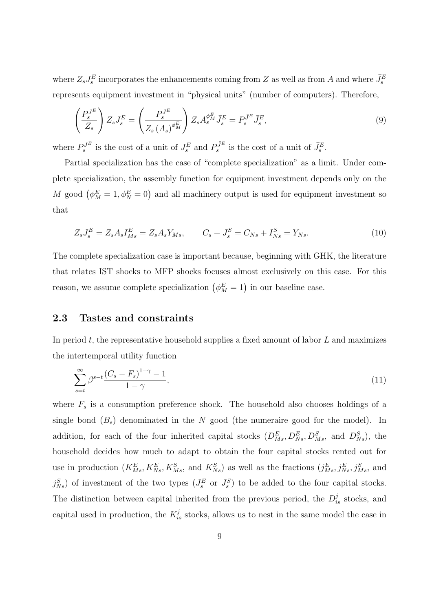where  $Z_s J_s^E$  incorporates the enhancements coming from Z as well as from A and where  $\bar{J}_s^E$ represents equipment investment in "physical units" (number of computers). Therefore,

$$
\left(\frac{P_s^{J^E}}{Z_s}\right) Z_s J_s^E = \left(\frac{P_s^{J^E}}{Z_s \left(A_s\right)^{\phi_M^E}}\right) Z_s A_s^{\phi_M^E} \bar{J}_s^E = P_s^{J^E} \bar{J}_s^E,\tag{9}
$$

where  $P_s^{J^E}$  $S_s^{J^E}$  is the cost of a unit of  $J_s^E$  and  $P_s^{J^E}$  is the cost of a unit of  $\bar{J}_s^E$ .

Partial specialization has the case of "complete specialization" as a limit. Under complete specialization, the assembly function for equipment investment depends only on the M good  $(\phi_M^E = 1, \phi_N^E = 0)$  and all machinery output is used for equipment investment so that

$$
Z_s J_s^E = Z_s A_s I_{Ms}^E = Z_s A_s Y_{Ms}, \qquad C_s + J_s^S = C_{Ns} + I_{Ns}^S = Y_{Ns}.
$$
\n(10)

The complete specialization case is important because, beginning with GHK, the literature that relates IST shocks to MFP shocks focuses almost exclusively on this case. For this reason, we assume complete specialization  $(\phi_M^E = 1)$  in our baseline case.

### 2.3 Tastes and constraints

In period  $t$ , the representative household supplies a fixed amount of labor  $L$  and maximizes the intertemporal utility function

$$
\sum_{s=t}^{\infty} \beta^{s-t} \frac{(C_s - F_s)^{1-\gamma} - 1}{1 - \gamma},\tag{11}
$$

where  $F_s$  is a consumption preference shock. The household also chooses holdings of a single bond  $(B_s)$  denominated in the N good (the numeraire good for the model). In addition, for each of the four inherited capital stocks  $(D_{Ms}^E, D_{Ns}^E, D_{Ms}^S,$  and  $D_{Ns}^S$ ), the household decides how much to adapt to obtain the four capital stocks rented out for use in production  $(K_{Ms}^E, K_{Ns}^E, K_{Ms}^S, \text{ and } K_{Ns}^S)$  as well as the fractions  $(j_{Ms}^E, j_{Ns}^E, j_{Ms}^S, \text{ and }$  $j_{Ns}^S$ ) of investment of the two types  $(J_s^E$  or  $J_s^S)$  to be added to the four capital stocks. The distinction between capital inherited from the previous period, the  $D_{is}^{j}$  stocks, and capital used in production, the  $K_{is}^{j}$  stocks, allows us to nest in the same model the case in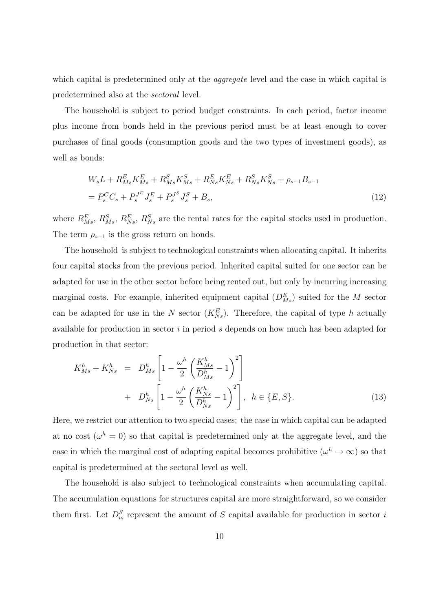which capital is predetermined only at the *aggregate* level and the case in which capital is predetermined also at the sectoral level.

The household is subject to period budget constraints. In each period, factor income plus income from bonds held in the previous period must be at least enough to cover purchases of final goods (consumption goods and the two types of investment goods), as well as bonds:

$$
W_s L + R_{Ms}^E K_{Ms}^E + R_{Ms}^S K_{Ms}^S + R_{Ns}^E K_{Ns}^E + R_{Ns}^S K_{Ns}^S + \rho_{s-1} B_{s-1}
$$
  
=  $P_s^C C_s + P_s^{J^E} J_s^E + P_s^{J^S} J_s^S + B_s,$  (12)

where  $R_{Ms}^E$ ,  $R_{Ms}^S$ ,  $R_{Ns}^E$ ,  $R_{Ns}^S$  are the rental rates for the capital stocks used in production. The term  $\rho_{s-1}$  is the gross return on bonds.

The household is subject to technological constraints when allocating capital. It inherits four capital stocks from the previous period. Inherited capital suited for one sector can be adapted for use in the other sector before being rented out, but only by incurring increasing marginal costs. For example, inherited equipment capital  $(D_{Ms}^E)$  suited for the M sector can be adapted for use in the N sector  $(K_{Ns}^E)$ . Therefore, the capital of type h actually available for production in sector  $i$  in period  $s$  depends on how much has been adapted for production in that sector:

$$
K_{Ms}^{h} + K_{Ns}^{h} = D_{Ms}^{h} \left[ 1 - \frac{\omega^{h}}{2} \left( \frac{K_{Ms}^{h}}{D_{Ms}^{h}} - 1 \right)^{2} \right] + D_{Ns}^{h} \left[ 1 - \frac{\omega^{h}}{2} \left( \frac{K_{Ns}^{h}}{D_{Ns}^{h}} - 1 \right)^{2} \right], \quad h \in \{E, S\}. \tag{13}
$$

Here, we restrict our attention to two special cases: the case in which capital can be adapted at no cost  $(\omega^h = 0)$  so that capital is predetermined only at the aggregate level, and the case in which the marginal cost of adapting capital becomes prohibitive  $(\omega^h \to \infty)$  so that capital is predetermined at the sectoral level as well.

The household is also subject to technological constraints when accumulating capital. The accumulation equations for structures capital are more straightforward, so we consider them first. Let  $D_{is}^S$  represent the amount of S capital available for production in sector i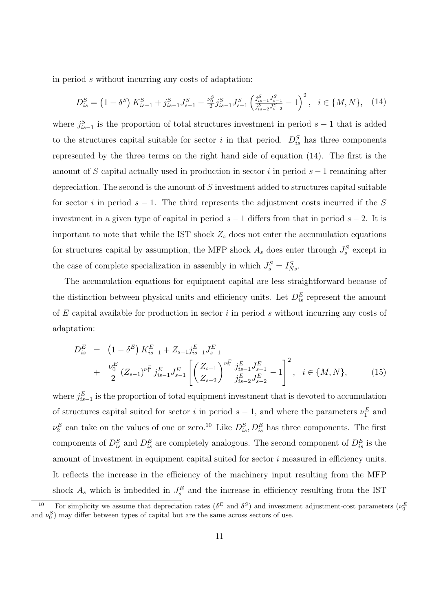in period s without incurring any costs of adaptation:

$$
D_{is}^{S} = (1 - \delta^{S}) K_{is-1}^{S} + j_{is-1}^{S} J_{s-1}^{S} - \frac{\nu_{0}^{S}}{2} j_{is-1}^{S} J_{s-1}^{S} \left( \frac{j_{is-1}^{S} J_{s-1}^{S}}{j_{is-2}^{S} J_{s-2}^{S}} - 1 \right)^{2}, \quad i \in \{M, N\}, \quad (14)
$$

where  $j_{is-1}^S$  is the proportion of total structures investment in period  $s-1$  that is added to the structures capital suitable for sector i in that period.  $D_{is}^S$  has three components represented by the three terms on the right hand side of equation (14). The first is the amount of S capital actually used in production in sector i in period  $s - 1$  remaining after depreciation. The second is the amount of  $S$  investment added to structures capital suitable for sector i in period  $s - 1$ . The third represents the adjustment costs incurred if the S investment in a given type of capital in period  $s - 1$  differs from that in period  $s - 2$ . It is important to note that while the IST shock  $Z_s$  does not enter the accumulation equations for structures capital by assumption, the MFP shock  $A_s$  does enter through  $J_s^S$  except in the case of complete specialization in assembly in which  $J_s^S = I_{Ns}^S$ .

The accumulation equations for equipment capital are less straightforward because of the distinction between physical units and efficiency units. Let  $D_{is}^E$  represent the amount of  $E$  capital available for production in sector  $i$  in period  $s$  without incurring any costs of adaptation:

$$
D_{is}^{E} = (1 - \delta^{E}) K_{is-1}^{E} + Z_{s-1} j_{is-1}^{E} J_{s-1}^{E}
$$
  
+ 
$$
\frac{\nu_{0}^{E}}{2} (Z_{s-1})^{\nu_{1}^{E}} j_{is-1}^{E} J_{s-1}^{E} \left[ \left( \frac{Z_{s-1}}{Z_{s-2}} \right)^{\nu_{2}^{E}} \frac{j_{is-1}^{E} J_{s-1}^{E}}{j_{is-2}^{E} J_{s-2}^{E}} - 1 \right]^{2}, \quad i \in \{M, N\},
$$
(15)

where  $j_{is-1}^E$  is the proportion of total equipment investment that is devoted to accumulation of structures capital suited for sector i in period  $s-1$ , and where the parameters  $\nu_1^E$  and  $\nu_2^E$  can take on the values of one or zero.<sup>10</sup> Like  $D_{is}^S, D_{is}^E$  has three components. The first components of  $D_{is}^S$  and  $D_{is}^E$  are completely analogous. The second component of  $D_{is}^E$  is the amount of investment in equipment capital suited for sector i measured in efficiency units. It reflects the increase in the efficiency of the machinery input resulting from the MFP shock  $A_s$  which is imbedded in  $J_s^E$  and the increase in efficiency resulting from the IST

<sup>&</sup>lt;sup>10</sup> For simplicity we assume that depreciation rates ( $\delta^E$  and  $\delta^S$ ) and investment adjustment-cost parameters ( $\nu_0^E$  and  $\nu_0^S$ ) may differ between types of capital but are the same across sectors of use.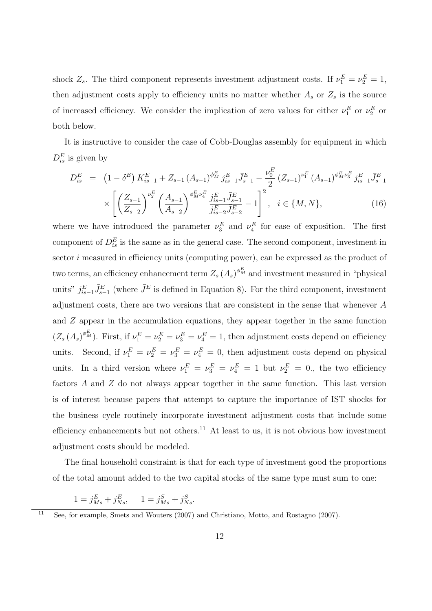shock  $Z_s$ . The third component represents investment adjustment costs. If  $\nu_1^E = \nu_2^E = 1$ , then adjustment costs apply to efficiency units no matter whether  $A_s$  or  $Z_s$  is the source of increased efficiency. We consider the implication of zero values for either  $\nu_1^E$  or  $\nu_2^E$  or both below.

It is instructive to consider the case of Cobb-Douglas assembly for equipment in which  $D_{is}^E$  is given by

$$
D_{is}^{E} = \left(1 - \delta^{E}\right) K_{is-1}^{E} + Z_{s-1} \left(A_{s-1}\right)^{\phi_{M}^{E}} j_{is-1}^{E} \bar{J}_{s-1}^{E} - \frac{\nu_{0}^{E}}{2} \left(Z_{s-1}\right)^{\nu_{1}^{E}} \left(A_{s-1}\right)^{\phi_{M}^{E} \nu_{3}^{E}} j_{is-1}^{E} \bar{J}_{s-1}^{E}
$$

$$
\times \left[ \left(\frac{Z_{s-1}}{Z_{s-2}}\right)^{\nu_{2}^{E}} \left(\frac{A_{s-1}}{A_{s-2}}\right)^{\phi_{M}^{E} \nu_{4}^{E}} j_{is-1}^{E} \bar{J}_{s-1}^{E} - 1 \right]^{2}, \quad i \in \{M, N\}, \tag{16}
$$

where we have introduced the parameter  $\nu_3^E$  and  $\nu_4^E$  for ease of exposition. The first component of  $D_{is}^E$  is the same as in the general case. The second component, investment in sector *i* measured in efficiency units (computing power), can be expressed as the product of two terms, an efficiency enhancement term  $Z_s$   $(A_s)^{\phi_M^E}$  and investment measured in "physical units"  $j_{is-1}^E \bar{J}_{s-1}^E$  (where  $\bar{J}^E$  is defined in Equation 8). For the third component, investment adjustment costs, there are two versions that are consistent in the sense that whenever A and Z appear in the accumulation equations, they appear together in the same function  $(Z_s(A_s)^{\phi_M^E})$ . First, if  $\nu_1^E = \nu_2^E = \nu_3^E = \nu_4^E = 1$ , then adjustment costs depend on efficiency units. Second, if  $\nu_1^E = \nu_2^E = \nu_3^E = \nu_4^E = 0$ , then adjustment costs depend on physical units. In a third version where  $\nu_1^E = \nu_3^E = \nu_4^E = 1$  but  $\nu_2^E = 0$ ., the two efficiency factors A and Z do not always appear together in the same function. This last version is of interest because papers that attempt to capture the importance of IST shocks for the business cycle routinely incorporate investment adjustment costs that include some efficiency enhancements but not others.<sup>11</sup> At least to us, it is not obvious how investment adjustment costs should be modeled.

The final household constraint is that for each type of investment good the proportions of the total amount added to the two capital stocks of the same type must sum to one:

$$
1 = j_{Ms}^E + j_{Ns}^E, \qquad 1 = j_{Ms}^S + j_{Ns}^S.
$$

<sup>11</sup> See, for example, Smets and Wouters (2007) and Christiano, Motto, and Rostagno (2007).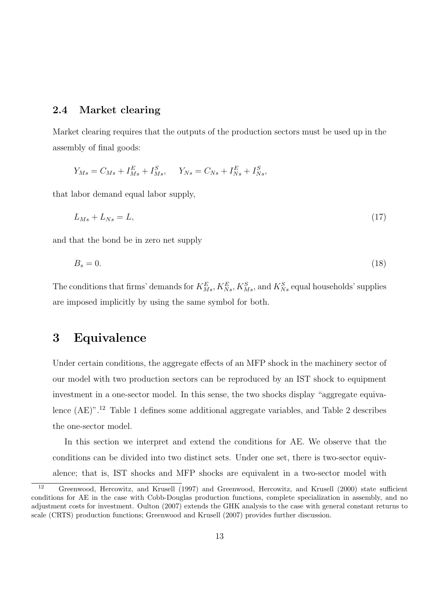#### 2.4 Market clearing

Market clearing requires that the outputs of the production sectors must be used up in the assembly of final goods:

$$
Y_{Ms} = C_{Ms} + I_{Ms}^E + I_{Ms}^S, \quad Y_{Ns} = C_{Ns} + I_{Ns}^E + I_{Ns}^S,
$$

that labor demand equal labor supply,

$$
L_{Ms} + L_{Ns} = L,\tag{17}
$$

and that the bond be in zero net supply

$$
B_s = 0.\t\t(18)
$$

The conditions that firms' demands for  $K_{Ms}^E, K_{Ns}^E, K_{Ms}^S$ , and  $K_{Ns}^S$  equal households' supplies are imposed implicitly by using the same symbol for both.

## 3 Equivalence

Under certain conditions, the aggregate effects of an MFP shock in the machinery sector of our model with two production sectors can be reproduced by an IST shock to equipment investment in a one-sector model. In this sense, the two shocks display "aggregate equivalence (AE)".<sup>12</sup> Table 1 defines some additional aggregate variables, and Table 2 describes the one-sector model.

In this section we interpret and extend the conditions for AE. We observe that the conditions can be divided into two distinct sets. Under one set, there is two-sector equivalence; that is, IST shocks and MFP shocks are equivalent in a two-sector model with

<sup>12</sup> Greenwood, Hercowitz, and Krusell (1997) and Greenwood, Hercowitz, and Krusell (2000) state sufficient conditions for AE in the case with Cobb-Douglas production functions, complete specialization in assembly, and no adjustment costs for investment. Oulton (2007) extends the GHK analysis to the case with general constant returns to scale (CRTS) production functions; Greenwood and Krusell (2007) provides further discussion.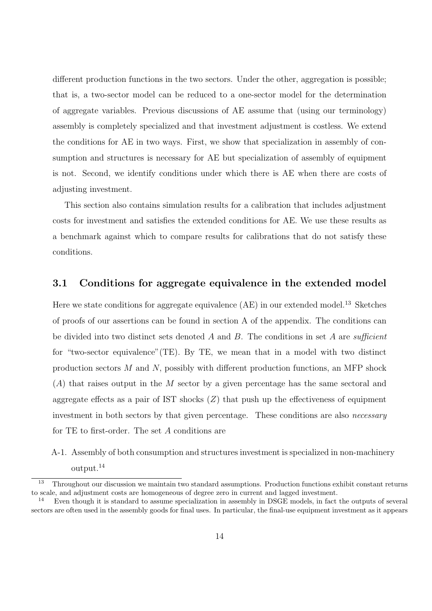different production functions in the two sectors. Under the other, aggregation is possible; that is, a two-sector model can be reduced to a one-sector model for the determination of aggregate variables. Previous discussions of AE assume that (using our terminology) assembly is completely specialized and that investment adjustment is costless. We extend the conditions for AE in two ways. First, we show that specialization in assembly of consumption and structures is necessary for AE but specialization of assembly of equipment is not. Second, we identify conditions under which there is AE when there are costs of adjusting investment.

This section also contains simulation results for a calibration that includes adjustment costs for investment and satisfies the extended conditions for AE. We use these results as a benchmark against which to compare results for calibrations that do not satisfy these conditions.

#### 3.1 Conditions for aggregate equivalence in the extended model

Here we state conditions for aggregate equivalence  $(AE)$  in our extended model.<sup>13</sup> Sketches of proofs of our assertions can be found in section A of the appendix. The conditions can be divided into two distinct sets denoted  $A$  and  $B$ . The conditions in set  $A$  are sufficient for "two-sector equivalence"(TE). By TE, we mean that in a model with two distinct production sectors  $M$  and  $N$ , possibly with different production functions, an MFP shock (A) that raises output in the M sector by a given percentage has the same sectoral and aggregate effects as a pair of IST shocks  $(Z)$  that push up the effectiveness of equipment investment in both sectors by that given percentage. These conditions are also *necessary* for TE to first-order. The set A conditions are

A-1. Assembly of both consumption and structures investment is specialized in non-machinery output.<sup>14</sup>

<sup>13</sup> Throughout our discussion we maintain two standard assumptions. Production functions exhibit constant returns to scale, and adjustment costs are homogeneous of degree zero in current and lagged investment.

<sup>14</sup> Even though it is standard to assume specialization in assembly in DSGE models, in fact the outputs of several sectors are often used in the assembly goods for final uses. In particular, the final-use equipment investment as it appears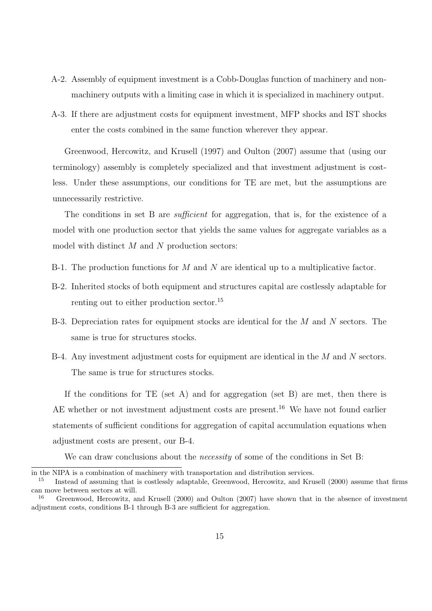- A-2. Assembly of equipment investment is a Cobb-Douglas function of machinery and nonmachinery outputs with a limiting case in which it is specialized in machinery output.
- A-3. If there are adjustment costs for equipment investment, MFP shocks and IST shocks enter the costs combined in the same function wherever they appear.

Greenwood, Hercowitz, and Krusell (1997) and Oulton (2007) assume that (using our terminology) assembly is completely specialized and that investment adjustment is costless. Under these assumptions, our conditions for TE are met, but the assumptions are unnecessarily restrictive.

The conditions in set B are *sufficient* for aggregation, that is, for the existence of a model with one production sector that yields the same values for aggregate variables as a model with distinct  $M$  and  $N$  production sectors:

- B-1. The production functions for  $M$  and  $N$  are identical up to a multiplicative factor.
- B-2. Inherited stocks of both equipment and structures capital are costlessly adaptable for renting out to either production sector.<sup>15</sup>
- B-3. Depreciation rates for equipment stocks are identical for the  $M$  and  $N$  sectors. The same is true for structures stocks.
- B-4. Any investment adjustment costs for equipment are identical in the M and N sectors. The same is true for structures stocks.

If the conditions for TE (set A) and for aggregation (set B) are met, then there is AE whether or not investment adjustment costs are present.<sup>16</sup> We have not found earlier statements of sufficient conditions for aggregation of capital accumulation equations when adjustment costs are present, our B-4.

We can draw conclusions about the *necessity* of some of the conditions in Set B:

in the NIPA is a combination of machinery with transportation and distribution services.

<sup>15</sup> Instead of assuming that is costlessly adaptable, Greenwood, Hercowitz, and Krusell (2000) assume that firms can move between sectors at will.

<sup>16</sup> Greenwood, Hercowitz, and Krusell (2000) and Oulton (2007) have shown that in the absence of investment adjustment costs, conditions B-1 through B-3 are sufficient for aggregation.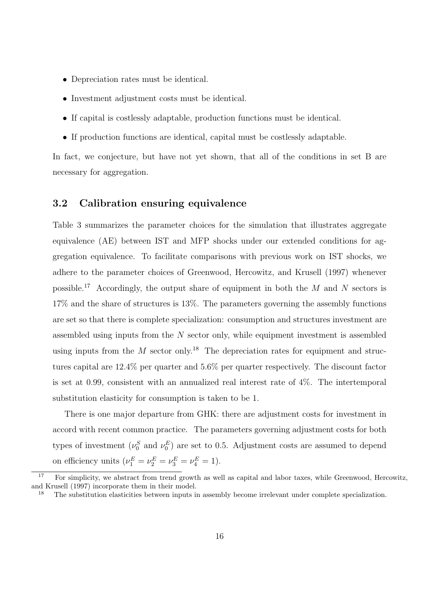- Depreciation rates must be identical.
- Investment adjustment costs must be identical.
- If capital is costlessly adaptable, production functions must be identical.
- If production functions are identical, capital must be costlessly adaptable.

In fact, we conjecture, but have not yet shown, that all of the conditions in set B are necessary for aggregation.

## 3.2 Calibration ensuring equivalence

Table 3 summarizes the parameter choices for the simulation that illustrates aggregate equivalence (AE) between IST and MFP shocks under our extended conditions for aggregation equivalence. To facilitate comparisons with previous work on IST shocks, we adhere to the parameter choices of Greenwood, Hercowitz, and Krusell (1997) whenever possible.<sup>17</sup> Accordingly, the output share of equipment in both the M and N sectors is 17% and the share of structures is 13%. The parameters governing the assembly functions are set so that there is complete specialization: consumption and structures investment are assembled using inputs from the  $N$  sector only, while equipment investment is assembled using inputs from the  $M$  sector only.<sup>18</sup> The depreciation rates for equipment and structures capital are 12.4% per quarter and 5.6% per quarter respectively. The discount factor is set at 0.99, consistent with an annualized real interest rate of 4%. The intertemporal substitution elasticity for consumption is taken to be 1.

There is one major departure from GHK: there are adjustment costs for investment in accord with recent common practice. The parameters governing adjustment costs for both types of investment  $(\nu_0^S \text{ and } \nu_0^E)$  are set to 0.5. Adjustment costs are assumed to depend on efficiency units  $(\nu_1^E = \nu_2^E = \nu_3^E = \nu_4^E = 1)$ .

<sup>&</sup>lt;sup>17</sup> For simplicity, we abstract from trend growth as well as capital and labor taxes, while Greenwood, Hercowitz, and Krusell (1997) incorporate them in their model.

<sup>18</sup> The substitution elasticities between inputs in assembly become irrelevant under complete specialization.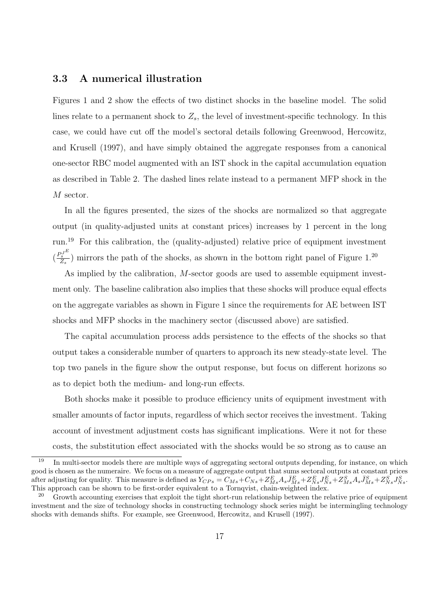#### 3.3 A numerical illustration

Figures 1 and 2 show the effects of two distinct shocks in the baseline model. The solid lines relate to a permanent shock to  $Z_s$ , the level of investment-specific technology. In this case, we could have cut off the model's sectoral details following Greenwood, Hercowitz, and Krusell (1997), and have simply obtained the aggregate responses from a canonical one-sector RBC model augmented with an IST shock in the capital accumulation equation as described in Table 2. The dashed lines relate instead to a permanent MFP shock in the M sector.

In all the figures presented, the sizes of the shocks are normalized so that aggregate output (in quality-adjusted units at constant prices) increases by 1 percent in the long run.<sup>19</sup> For this calibration, the (quality-adjusted) relative price of equipment investment  $(\frac{P_s^J^E}{Z_s})$  mirrors the path of the shocks, as shown in the bottom right panel of Figure 1.<sup>20</sup>

As implied by the calibration, M-sector goods are used to assemble equipment investment only. The baseline calibration also implies that these shocks will produce equal effects on the aggregate variables as shown in Figure 1 since the requirements for AE between IST shocks and MFP shocks in the machinery sector (discussed above) are satisfied.

The capital accumulation process adds persistence to the effects of the shocks so that output takes a considerable number of quarters to approach its new steady-state level. The top two panels in the figure show the output response, but focus on different horizons so as to depict both the medium- and long-run effects.

Both shocks make it possible to produce efficiency units of equipment investment with smaller amounts of factor inputs, regardless of which sector receives the investment. Taking account of investment adjustment costs has significant implications. Were it not for these costs, the substitution effect associated with the shocks would be so strong as to cause an

<sup>&</sup>lt;sup>19</sup> In multi-sector models there are multiple ways of aggregating sectoral outputs depending, for instance, on which good is chosen as the numeraire. We focus on a measure of aggregate output that sums sectoral outputs at constant prices after adjusting for quality. This measure is defined as  $Y_{CPs} = C_{Ms} + C_{Ns} + Z_{Ms}^E A_s \bar{J}_{Ms}^E + Z_{Ns}^E J_{Ns}^E + Z_{Ms}^S A_s \bar{J}_{Ms}^S + Z_{Ns}^S J_{Ns}^S$ . This approach can be shown to be first-order equivalent to a Tornqvist, chain-weighted index.

<sup>&</sup>lt;sup>20</sup> Growth accounting exercises that exploit the tight short-run relationship between the relative price of equipment investment and the size of technology shocks in constructing technology shock series might be intermingling technology shocks with demands shifts. For example, see Greenwood, Hercowitz, and Krusell (1997).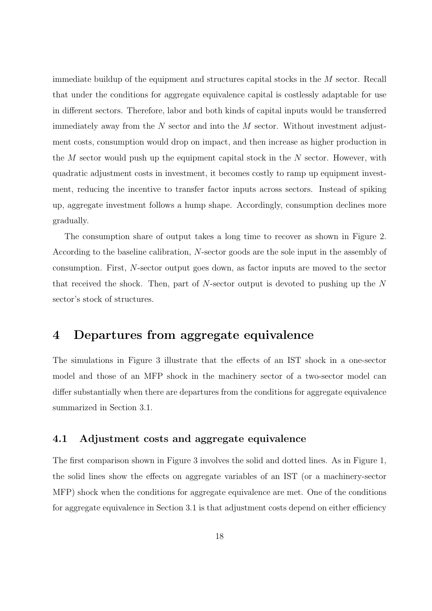immediate buildup of the equipment and structures capital stocks in the M sector. Recall that under the conditions for aggregate equivalence capital is costlessly adaptable for use in different sectors. Therefore, labor and both kinds of capital inputs would be transferred immediately away from the  $N$  sector and into the  $M$  sector. Without investment adjustment costs, consumption would drop on impact, and then increase as higher production in the  $M$  sector would push up the equipment capital stock in the  $N$  sector. However, with quadratic adjustment costs in investment, it becomes costly to ramp up equipment investment, reducing the incentive to transfer factor inputs across sectors. Instead of spiking up, aggregate investment follows a hump shape. Accordingly, consumption declines more gradually.

The consumption share of output takes a long time to recover as shown in Figure 2. According to the baseline calibration, N-sector goods are the sole input in the assembly of consumption. First, N-sector output goes down, as factor inputs are moved to the sector that received the shock. Then, part of  $N$ -sector output is devoted to pushing up the  $N$ sector's stock of structures.

# 4 Departures from aggregate equivalence

The simulations in Figure 3 illustrate that the effects of an IST shock in a one-sector model and those of an MFP shock in the machinery sector of a two-sector model can differ substantially when there are departures from the conditions for aggregate equivalence summarized in Section 3.1.

### 4.1 Adjustment costs and aggregate equivalence

The first comparison shown in Figure 3 involves the solid and dotted lines. As in Figure 1, the solid lines show the effects on aggregate variables of an IST (or a machinery-sector MFP) shock when the conditions for aggregate equivalence are met. One of the conditions for aggregate equivalence in Section 3.1 is that adjustment costs depend on either efficiency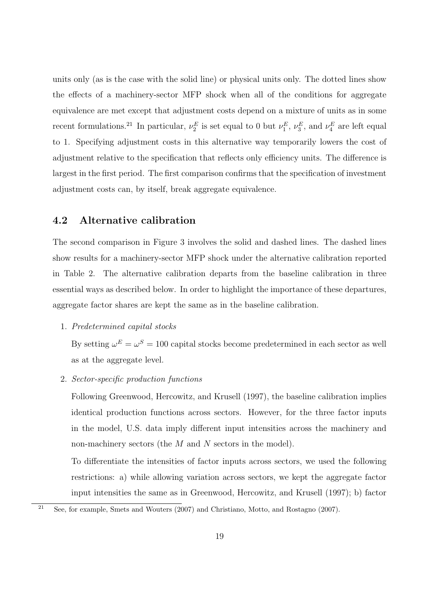units only (as is the case with the solid line) or physical units only. The dotted lines show the effects of a machinery-sector MFP shock when all of the conditions for aggregate equivalence are met except that adjustment costs depend on a mixture of units as in some recent formulations.<sup>21</sup> In particular,  $\nu_2^E$  is set equal to 0 but  $\nu_1^E$ ,  $\nu_3^E$ , and  $\nu_4^E$  are left equal to 1. Specifying adjustment costs in this alternative way temporarily lowers the cost of adjustment relative to the specification that reflects only efficiency units. The difference is largest in the first period. The first comparison confirms that the specification of investment adjustment costs can, by itself, break aggregate equivalence.

## 4.2 Alternative calibration

The second comparison in Figure 3 involves the solid and dashed lines. The dashed lines show results for a machinery-sector MFP shock under the alternative calibration reported in Table 2. The alternative calibration departs from the baseline calibration in three essential ways as described below. In order to highlight the importance of these departures, aggregate factor shares are kept the same as in the baseline calibration.

1. Predetermined capital stocks

By setting  $\omega^E = \omega^S = 100$  capital stocks become predetermined in each sector as well as at the aggregate level.

2. Sector-specific production functions

Following Greenwood, Hercowitz, and Krusell (1997), the baseline calibration implies identical production functions across sectors. However, for the three factor inputs in the model, U.S. data imply different input intensities across the machinery and non-machinery sectors (the M and N sectors in the model).

To differentiate the intensities of factor inputs across sectors, we used the following restrictions: a) while allowing variation across sectors, we kept the aggregate factor input intensities the same as in Greenwood, Hercowitz, and Krusell (1997); b) factor

<sup>21</sup> See, for example, Smets and Wouters (2007) and Christiano, Motto, and Rostagno (2007).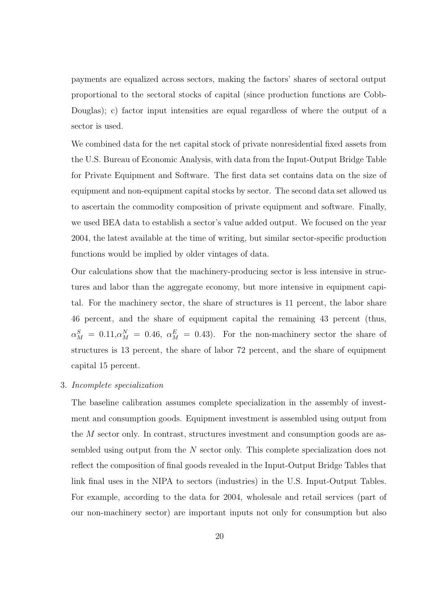payments are equalized across sectors, making the factors' shares of sectoral output proportional to the sectoral stocks of capital (since production functions are Cobb-Douglas); c) factor input intensities are equal regardless of where the output of a sector is used.

We combined data for the net capital stock of private nonresidential fixed assets from the U.S. Bureau of Economic Analysis, with data from the Input-Output Bridge Table for Private Equipment and Software. The first data set contains data on the size of equipment and non-equipment capital stocks by sector. The second data set allowed us to ascertain the commodity composition of private equipment and software. Finally, we used BEA data to establish a sector's value added output. We focused on the year 2004, the latest available at the time of writing, but similar sector-specific production functions would be implied by older vintages of data.

Our calculations show that the machinery-producing sector is less intensive in structures and labor than the aggregate economy, but more intensive in equipment capital. For the machinery sector, the share of structures is 11 percent, the labor share 46 percent, and the share of equipment capital the remaining 43 percent (thus,  $\alpha_M^S = 0.11, \alpha_M^N = 0.46, \alpha_M^E = 0.43$ . For the non-machinery sector the share of structures is 13 percent, the share of labor 72 percent, and the share of equipment capital 15 percent.

#### 3. Incomplete specialization

The baseline calibration assumes complete specialization in the assembly of investment and consumption goods. Equipment investment is assembled using output from the M sector only. In contrast, structures investment and consumption goods are assembled using output from the N sector only. This complete specialization does not reflect the composition of final goods revealed in the Input-Output Bridge Tables that link final uses in the NIPA to sectors (industries) in the U.S. Input-Output Tables. For example, according to the data for 2004, wholesale and retail services (part of our non-machinery sector) are important inputs not only for consumption but also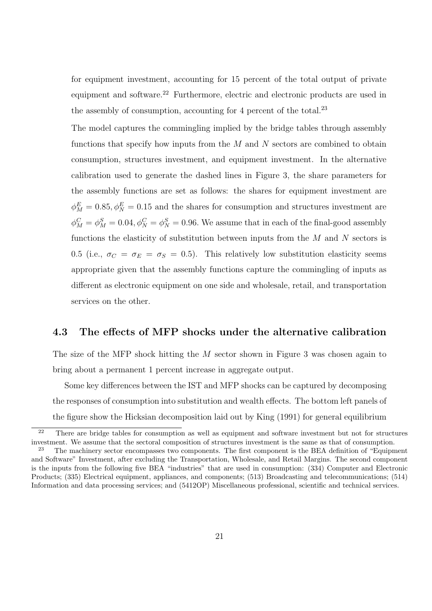for equipment investment, accounting for 15 percent of the total output of private equipment and software.<sup>22</sup> Furthermore, electric and electronic products are used in the assembly of consumption, accounting for 4 percent of the total.<sup>23</sup>

The model captures the commingling implied by the bridge tables through assembly functions that specify how inputs from the  $M$  and  $N$  sectors are combined to obtain consumption, structures investment, and equipment investment. In the alternative calibration used to generate the dashed lines in Figure 3, the share parameters for the assembly functions are set as follows: the shares for equipment investment are  $\phi_M^E = 0.85, \phi_N^E = 0.15$  and the shares for consumption and structures investment are  $\phi_M^C = \phi_M^S = 0.04, \phi_N^C = \phi_N^S = 0.96$ . We assume that in each of the final-good assembly functions the elasticity of substitution between inputs from the  $M$  and  $N$  sectors is 0.5 (i.e.,  $\sigma_C = \sigma_E = \sigma_S = 0.5$ ). This relatively low substitution elasticity seems appropriate given that the assembly functions capture the commingling of inputs as different as electronic equipment on one side and wholesale, retail, and transportation services on the other.

### 4.3 The effects of MFP shocks under the alternative calibration

The size of the MFP shock hitting the  $M$  sector shown in Figure 3 was chosen again to bring about a permanent 1 percent increase in aggregate output.

Some key differences between the IST and MFP shocks can be captured by decomposing the responses of consumption into substitution and wealth effects. The bottom left panels of the figure show the Hicksian decomposition laid out by King (1991) for general equilibrium

 $\frac{22}{2}$  There are bridge tables for consumption as well as equipment and software investment but not for structures investment. We assume that the sectoral composition of structures investment is the same as that of consumption.

<sup>&</sup>lt;sup>23</sup> The machinery sector encompasses two components. The first component is the BEA definition of "Equipment" and Software" Investment, after excluding the Transportation, Wholesale, and Retail Margins. The second component is the inputs from the following five BEA "industries" that are used in consumption: (334) Computer and Electronic Products; (335) Electrical equipment, appliances, and components; (513) Broadcasting and telecommunications; (514) Information and data processing services; and (5412OP) Miscellaneous professional, scientific and technical services.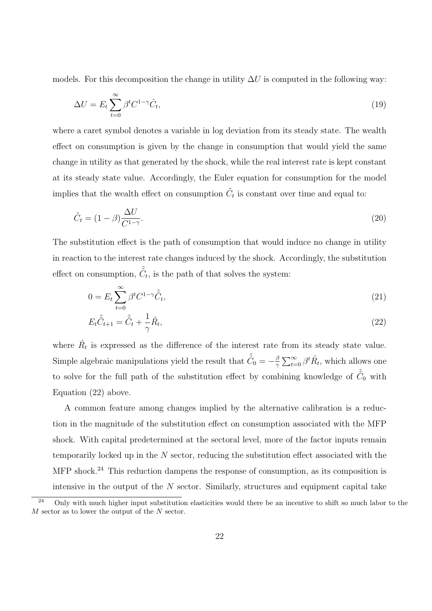models. For this decomposition the change in utility  $\Delta U$  is computed in the following way:

$$
\Delta U = E_t \sum_{t=0}^{\infty} \beta^t C^{1-\gamma} \hat{C}_t,
$$
\n(19)

where a caret symbol denotes a variable in log deviation from its steady state. The wealth effect on consumption is given by the change in consumption that would yield the same change in utility as that generated by the shock, while the real interest rate is kept constant at its steady state value. Accordingly, the Euler equation for consumption for the model implies that the wealth effect on consumption  $\tilde{C}_t$  is constant over time and equal to:

$$
\tilde{C}_t = (1 - \beta) \frac{\Delta U}{C^{1 - \gamma}}.
$$
\n(20)

The substitution effect is the path of consumption that would induce no change in utility in reaction to the interest rate changes induced by the shock. Accordingly, the substitution effect on consumption,  $\tilde{C}_t$ , is the path of that solves the system:

$$
0 = E_t \sum_{t=0}^{\infty} \beta^t C^{1-\gamma} \tilde{\tilde{C}}_t,
$$
\n(21)

$$
E_t \tilde{\tilde{C}}_{t+1} = \tilde{\tilde{C}}_t + \frac{1}{\gamma} \hat{R}_t,\tag{22}
$$

where  $\hat{R}_t$  is expressed as the difference of the interest rate from its steady state value. Simple algebraic manipulations yield the result that  $\tilde{C}_0 = -\frac{\beta}{\gamma}$ γ  $\Gamma^{\infty}$  $\sum_{t=0}^{\infty} \beta^t \hat{R}_t$ , which allows one to solve for the full path of the substitution effect by combining knowledge of  $\tilde{C}_0$  with Equation (22) above.

A common feature among changes implied by the alternative calibration is a reduction in the magnitude of the substitution effect on consumption associated with the MFP shock. With capital predetermined at the sectoral level, more of the factor inputs remain temporarily locked up in the N sector, reducing the substitution effect associated with the MFP shock.<sup>24</sup> This reduction dampens the response of consumption, as its composition is intensive in the output of the  $N$  sector. Similarly, structures and equipment capital take

<sup>&</sup>lt;sup>24</sup> Only with much higher input substitution elasticities would there be an incentive to shift so much labor to the M sector as to lower the output of the N sector.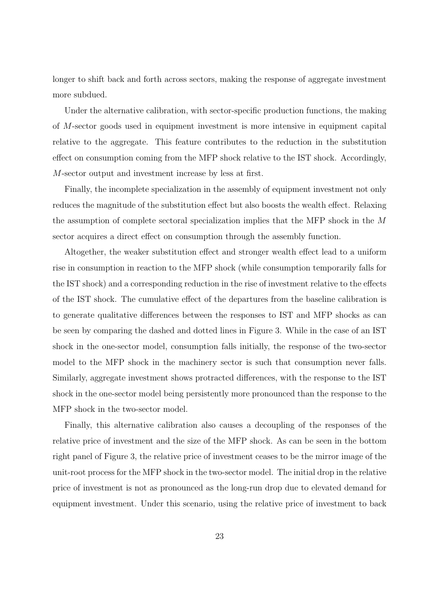longer to shift back and forth across sectors, making the response of aggregate investment more subdued.

Under the alternative calibration, with sector-specific production functions, the making of M-sector goods used in equipment investment is more intensive in equipment capital relative to the aggregate. This feature contributes to the reduction in the substitution effect on consumption coming from the MFP shock relative to the IST shock. Accordingly, M-sector output and investment increase by less at first.

Finally, the incomplete specialization in the assembly of equipment investment not only reduces the magnitude of the substitution effect but also boosts the wealth effect. Relaxing the assumption of complete sectoral specialization implies that the MFP shock in the M sector acquires a direct effect on consumption through the assembly function.

Altogether, the weaker substitution effect and stronger wealth effect lead to a uniform rise in consumption in reaction to the MFP shock (while consumption temporarily falls for the IST shock) and a corresponding reduction in the rise of investment relative to the effects of the IST shock. The cumulative effect of the departures from the baseline calibration is to generate qualitative differences between the responses to IST and MFP shocks as can be seen by comparing the dashed and dotted lines in Figure 3. While in the case of an IST shock in the one-sector model, consumption falls initially, the response of the two-sector model to the MFP shock in the machinery sector is such that consumption never falls. Similarly, aggregate investment shows protracted differences, with the response to the IST shock in the one-sector model being persistently more pronounced than the response to the MFP shock in the two-sector model.

Finally, this alternative calibration also causes a decoupling of the responses of the relative price of investment and the size of the MFP shock. As can be seen in the bottom right panel of Figure 3, the relative price of investment ceases to be the mirror image of the unit-root process for the MFP shock in the two-sector model. The initial drop in the relative price of investment is not as pronounced as the long-run drop due to elevated demand for equipment investment. Under this scenario, using the relative price of investment to back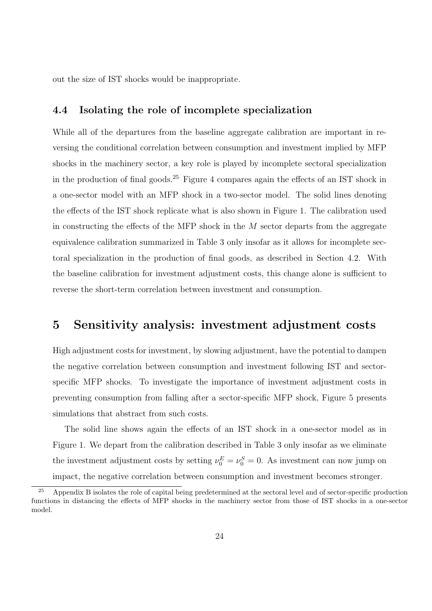out the size of IST shocks would be inappropriate.

### 4.4 Isolating the role of incomplete specialization

While all of the departures from the baseline aggregate calibration are important in reversing the conditional correlation between consumption and investment implied by MFP shocks in the machinery sector, a key role is played by incomplete sectoral specialization in the production of final goods.<sup>25</sup> Figure 4 compares again the effects of an IST shock in a one-sector model with an MFP shock in a two-sector model. The solid lines denoting the effects of the IST shock replicate what is also shown in Figure 1. The calibration used in constructing the effects of the MFP shock in the  $M$  sector departs from the aggregate equivalence calibration summarized in Table 3 only insofar as it allows for incomplete sectoral specialization in the production of final goods, as described in Section 4.2. With the baseline calibration for investment adjustment costs, this change alone is sufficient to reverse the short-term correlation between investment and consumption.

## 5 Sensitivity analysis: investment adjustment costs

High adjustment costs for investment, by slowing adjustment, have the potential to dampen the negative correlation between consumption and investment following IST and sectorspecific MFP shocks. To investigate the importance of investment adjustment costs in preventing consumption from falling after a sector-specific MFP shock, Figure 5 presents simulations that abstract from such costs.

The solid line shows again the effects of an IST shock in a one-sector model as in Figure 1. We depart from the calibration described in Table 3 only insofar as we eliminate the investment adjustment costs by setting  $\nu_0^E = \nu_0^S = 0$ . As investment can now jump on impact, the negative correlation between consumption and investment becomes stronger.

<sup>&</sup>lt;sup>25</sup> Appendix B isolates the role of capital being predetermined at the sectoral level and of sector-specific production functions in distancing the effects of MFP shocks in the machinery sector from those of IST shocks in a one-sector model.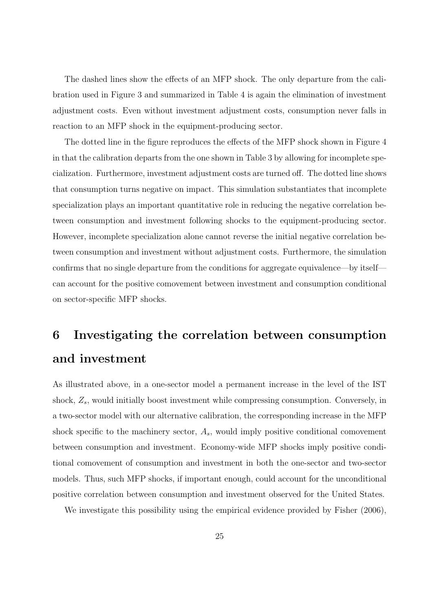The dashed lines show the effects of an MFP shock. The only departure from the calibration used in Figure 3 and summarized in Table 4 is again the elimination of investment adjustment costs. Even without investment adjustment costs, consumption never falls in reaction to an MFP shock in the equipment-producing sector.

The dotted line in the figure reproduces the effects of the MFP shock shown in Figure 4 in that the calibration departs from the one shown in Table 3 by allowing for incomplete specialization. Furthermore, investment adjustment costs are turned off. The dotted line shows that consumption turns negative on impact. This simulation substantiates that incomplete specialization plays an important quantitative role in reducing the negative correlation between consumption and investment following shocks to the equipment-producing sector. However, incomplete specialization alone cannot reverse the initial negative correlation between consumption and investment without adjustment costs. Furthermore, the simulation confirms that no single departure from the conditions for aggregate equivalence—by itself can account for the positive comovement between investment and consumption conditional on sector-specific MFP shocks.

# 6 Investigating the correlation between consumption and investment

As illustrated above, in a one-sector model a permanent increase in the level of the IST shock,  $Z_s$ , would initially boost investment while compressing consumption. Conversely, in a two-sector model with our alternative calibration, the corresponding increase in the MFP shock specific to the machinery sector,  $A_s$ , would imply positive conditional comovement between consumption and investment. Economy-wide MFP shocks imply positive conditional comovement of consumption and investment in both the one-sector and two-sector models. Thus, such MFP shocks, if important enough, could account for the unconditional positive correlation between consumption and investment observed for the United States.

We investigate this possibility using the empirical evidence provided by Fisher (2006),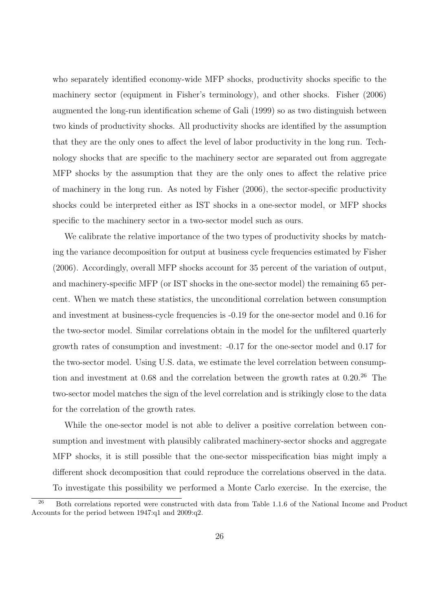who separately identified economy-wide MFP shocks, productivity shocks specific to the machinery sector (equipment in Fisher's terminology), and other shocks. Fisher (2006) augmented the long-run identification scheme of Gali (1999) so as two distinguish between two kinds of productivity shocks. All productivity shocks are identified by the assumption that they are the only ones to affect the level of labor productivity in the long run. Technology shocks that are specific to the machinery sector are separated out from aggregate MFP shocks by the assumption that they are the only ones to affect the relative price of machinery in the long run. As noted by Fisher (2006), the sector-specific productivity shocks could be interpreted either as IST shocks in a one-sector model, or MFP shocks specific to the machinery sector in a two-sector model such as ours.

We calibrate the relative importance of the two types of productivity shocks by matching the variance decomposition for output at business cycle frequencies estimated by Fisher (2006). Accordingly, overall MFP shocks account for 35 percent of the variation of output, and machinery-specific MFP (or IST shocks in the one-sector model) the remaining 65 percent. When we match these statistics, the unconditional correlation between consumption and investment at business-cycle frequencies is -0.19 for the one-sector model and 0.16 for the two-sector model. Similar correlations obtain in the model for the unfiltered quarterly growth rates of consumption and investment: -0.17 for the one-sector model and 0.17 for the two-sector model. Using U.S. data, we estimate the level correlation between consumption and investment at  $0.68$  and the correlation between the growth rates at  $0.20^{26}$  The two-sector model matches the sign of the level correlation and is strikingly close to the data for the correlation of the growth rates.

While the one-sector model is not able to deliver a positive correlation between consumption and investment with plausibly calibrated machinery-sector shocks and aggregate MFP shocks, it is still possible that the one-sector misspecification bias might imply a different shock decomposition that could reproduce the correlations observed in the data. To investigate this possibility we performed a Monte Carlo exercise. In the exercise, the

<sup>&</sup>lt;sup>26</sup> Both correlations reported were constructed with data from Table 1.1.6 of the National Income and Product Accounts for the period between 1947:q1 and 2009:q2.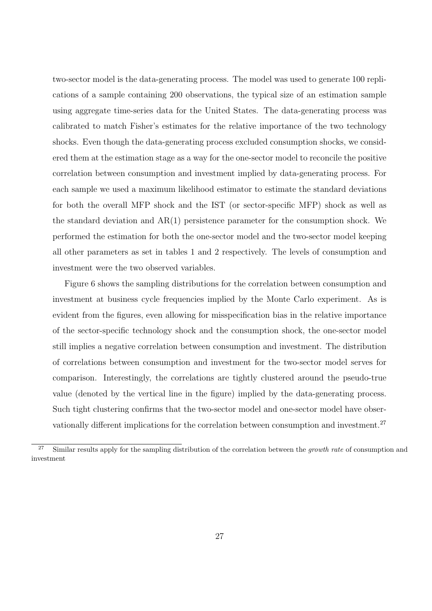two-sector model is the data-generating process. The model was used to generate 100 replications of a sample containing 200 observations, the typical size of an estimation sample using aggregate time-series data for the United States. The data-generating process was calibrated to match Fisher's estimates for the relative importance of the two technology shocks. Even though the data-generating process excluded consumption shocks, we considered them at the estimation stage as a way for the one-sector model to reconcile the positive correlation between consumption and investment implied by data-generating process. For each sample we used a maximum likelihood estimator to estimate the standard deviations for both the overall MFP shock and the IST (or sector-specific MFP) shock as well as the standard deviation and AR(1) persistence parameter for the consumption shock. We performed the estimation for both the one-sector model and the two-sector model keeping all other parameters as set in tables 1 and 2 respectively. The levels of consumption and investment were the two observed variables.

Figure 6 shows the sampling distributions for the correlation between consumption and investment at business cycle frequencies implied by the Monte Carlo experiment. As is evident from the figures, even allowing for misspecification bias in the relative importance of the sector-specific technology shock and the consumption shock, the one-sector model still implies a negative correlation between consumption and investment. The distribution of correlations between consumption and investment for the two-sector model serves for comparison. Interestingly, the correlations are tightly clustered around the pseudo-true value (denoted by the vertical line in the figure) implied by the data-generating process. Such tight clustering confirms that the two-sector model and one-sector model have observationally different implications for the correlation between consumption and investment.<sup>27</sup>

 $\frac{27}{27}$  Similar results apply for the sampling distribution of the correlation between the *growth rate* of consumption and investment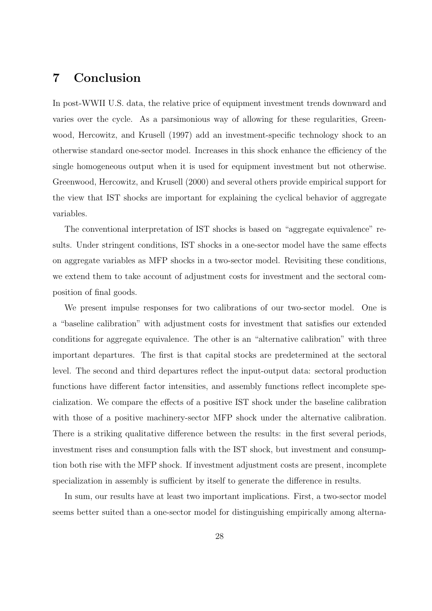## 7 Conclusion

In post-WWII U.S. data, the relative price of equipment investment trends downward and varies over the cycle. As a parsimonious way of allowing for these regularities, Greenwood, Hercowitz, and Krusell (1997) add an investment-specific technology shock to an otherwise standard one-sector model. Increases in this shock enhance the efficiency of the single homogeneous output when it is used for equipment investment but not otherwise. Greenwood, Hercowitz, and Krusell (2000) and several others provide empirical support for the view that IST shocks are important for explaining the cyclical behavior of aggregate variables.

The conventional interpretation of IST shocks is based on "aggregate equivalence" results. Under stringent conditions, IST shocks in a one-sector model have the same effects on aggregate variables as MFP shocks in a two-sector model. Revisiting these conditions, we extend them to take account of adjustment costs for investment and the sectoral composition of final goods.

We present impulse responses for two calibrations of our two-sector model. One is a "baseline calibration" with adjustment costs for investment that satisfies our extended conditions for aggregate equivalence. The other is an "alternative calibration" with three important departures. The first is that capital stocks are predetermined at the sectoral level. The second and third departures reflect the input-output data: sectoral production functions have different factor intensities, and assembly functions reflect incomplete specialization. We compare the effects of a positive IST shock under the baseline calibration with those of a positive machinery-sector MFP shock under the alternative calibration. There is a striking qualitative difference between the results: in the first several periods, investment rises and consumption falls with the IST shock, but investment and consumption both rise with the MFP shock. If investment adjustment costs are present, incomplete specialization in assembly is sufficient by itself to generate the difference in results.

In sum, our results have at least two important implications. First, a two-sector model seems better suited than a one-sector model for distinguishing empirically among alterna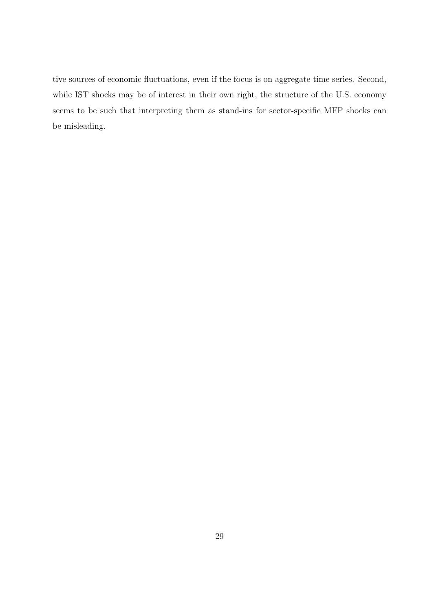tive sources of economic fluctuations, even if the focus is on aggregate time series. Second, while IST shocks may be of interest in their own right, the structure of the U.S. economy seems to be such that interpreting them as stand-ins for sector-specific MFP shocks can be misleading.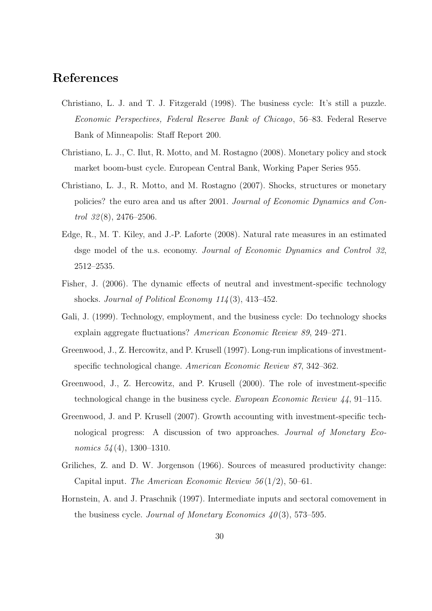# References

- Christiano, L. J. and T. J. Fitzgerald (1998). The business cycle: It's still a puzzle. Economic Perspectives, Federal Reserve Bank of Chicago, 56–83. Federal Reserve Bank of Minneapolis: Staff Report 200.
- Christiano, L. J., C. Ilut, R. Motto, and M. Rostagno (2008). Monetary policy and stock market boom-bust cycle. European Central Bank, Working Paper Series 955.
- Christiano, L. J., R. Motto, and M. Rostagno (2007). Shocks, structures or monetary policies? the euro area and us after 2001. Journal of Economic Dynamics and Control  $32(8)$ , 2476–2506.
- Edge, R., M. T. Kiley, and J.-P. Laforte (2008). Natural rate measures in an estimated dsge model of the u.s. economy. Journal of Economic Dynamics and Control 32, 2512–2535.
- Fisher, J. (2006). The dynamic effects of neutral and investment-specific technology shocks. Journal of Political Economy 114(3), 413-452.
- Gali, J. (1999). Technology, employment, and the business cycle: Do technology shocks explain aggregate fluctuations? American Economic Review 89, 249–271.
- Greenwood, J., Z. Hercowitz, and P. Krusell (1997). Long-run implications of investmentspecific technological change. American Economic Review 87, 342–362.
- Greenwood, J., Z. Hercowitz, and P. Krusell (2000). The role of investment-specific technological change in the business cycle. European Economic Review 44, 91–115.
- Greenwood, J. and P. Krusell (2007). Growth accounting with investment-specific technological progress: A discussion of two approaches. Journal of Monetary Economics  $54(4)$ , 1300–1310.
- Griliches, Z. and D. W. Jorgenson (1966). Sources of measured productivity change: Capital input. The American Economic Review  $56(1/2)$ , 50–61.
- Hornstein, A. and J. Praschnik (1997). Intermediate inputs and sectoral comovement in the business cycle. Journal of Monetary Economics  $40(3)$ , 573–595.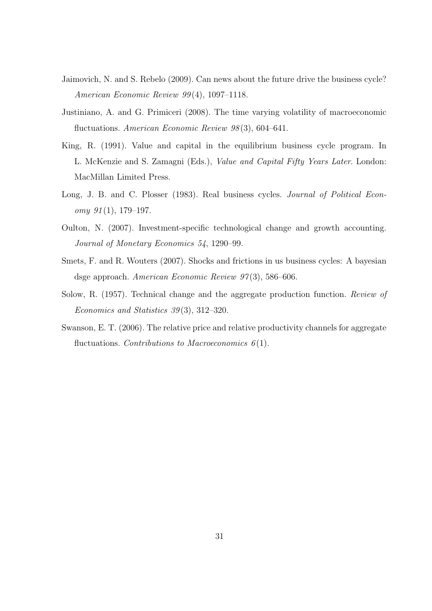- Jaimovich, N. and S. Rebelo (2009). Can news about the future drive the business cycle? American Economic Review 99 (4), 1097–1118.
- Justiniano, A. and G. Primiceri (2008). The time varying volatility of macroeconomic fluctuations. American Economic Review 98(3), 604–641.
- King, R. (1991). Value and capital in the equilibrium business cycle program. In L. McKenzie and S. Zamagni (Eds.), Value and Capital Fifty Years Later. London: MacMillan Limited Press.
- Long, J. B. and C. Plosser (1983). Real business cycles. Journal of Political Econ $omy \; 91(1), 179-197.$
- Oulton, N. (2007). Investment-specific technological change and growth accounting. Journal of Monetary Economics 54, 1290–99.
- Smets, F. and R. Wouters (2007). Shocks and frictions in us business cycles: A bayesian dsge approach. American Economic Review 97(3), 586–606.
- Solow, R. (1957). Technical change and the aggregate production function. Review of Economics and Statistics  $39(3)$ , 312-320.
- Swanson, E. T. (2006). The relative price and relative productivity channels for aggregate fluctuations. Contributions to Macroeconomics  $6(1)$ .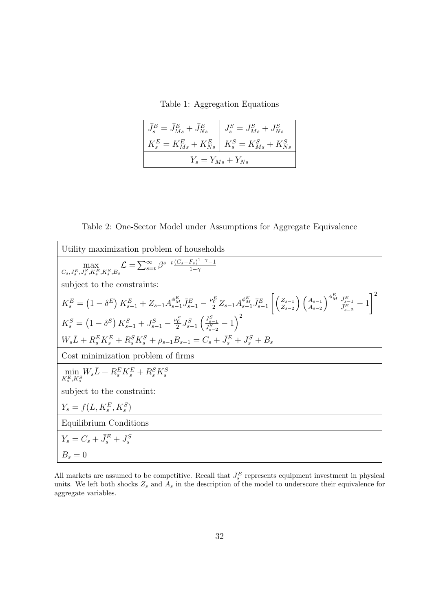Table 1: Aggregation Equations

| $\bar{J}^E_s = \bar{J}^E_{Ms} + \bar{J}^E_{Ns}$                | $J_s^S = J_{Ms}^S + J_{Ns}^S$ |  |  |  |
|----------------------------------------------------------------|-------------------------------|--|--|--|
| $K_s^E = K_{Ms}^E + K_{Ns}^E \mid K_s^S = K_{Ms}^S + K_{Ns}^S$ |                               |  |  |  |
| $Y_s = Y_{Ms} + Y_{Ns}$                                        |                               |  |  |  |

Table 2: One-Sector Model under Assumptions for Aggregate Equivalence

| Utility maximization problem of households                                                                                                                                                                                                                                                               |
|----------------------------------------------------------------------------------------------------------------------------------------------------------------------------------------------------------------------------------------------------------------------------------------------------------|
| $\max_{C_s, J_s^E, J_s^S, K_s^E, K_s^S, B_s}\mathcal{L}=\sum_{s=t}^{\infty}\beta^{s-t}\frac{(C_s-F_s)^{1-\gamma}-1}{1-\gamma}$                                                                                                                                                                           |
| subject to the constraints:                                                                                                                                                                                                                                                                              |
| $K_s^E = \left(1-\delta^E\right)K_{s-1}^E + Z_{s-1}A_{s-1}^{\phi_{M}^E}\bar{J}_{s-1}^E - \frac{\nu_0^E}{2}Z_{s-1}A_{s-1}^{\phi_{M}^E}\bar{J}_{s-1}^E \left[\left(\frac{Z_{s-1}}{Z_{s-2}}\right)\left(\frac{A_{s-1}}{A_{s-2}}\right)^{\phi_{M}^E}\frac{\bar{J}_{s-1}^E}{\bar{J}_{s-2}^E} - 1\right]^{-1}$ |
| $K_s^S = (1-\delta^S) K_{s-1}^S + J_{s-1}^S - \frac{\nu_0^S}{2} J_{s-1}^S \left( \frac{J_{s-1}^S}{J_{s-1}^S} - 1 \right)^2$                                                                                                                                                                              |
| $W_s\bar{L} + R_s^E K_s^E + R_s^S K_s^S + \rho_{s-1}B_{s-1} = C_s + \bar{J}_s^E + J_s^S + B_s$                                                                                                                                                                                                           |
| Cost minimization problem of firms                                                                                                                                                                                                                                                                       |
| min $W_s\bar{L} + R_s^E K_s^E + R_s^S K_s^S$<br>$K_s^E$ . $K_s^S$                                                                                                                                                                                                                                        |
| subject to the constraint:                                                                                                                                                                                                                                                                               |
| $Y_s = f(L, K_s^E, K_s^S)$                                                                                                                                                                                                                                                                               |
| Equilibrium Conditions                                                                                                                                                                                                                                                                                   |
| $Y_{s} = C_{s} + \bar{J}_{s}^{E} + J_{s}^{S}$                                                                                                                                                                                                                                                            |
| $B_s=0$                                                                                                                                                                                                                                                                                                  |

All markets are assumed to be competitive. Recall that  $\bar{J}_s^E$  represents equipment investment in physical units. We left both shocks  $Z_s$  and  $A_s$  in the description of the model to underscore their equivalence for aggregate variables.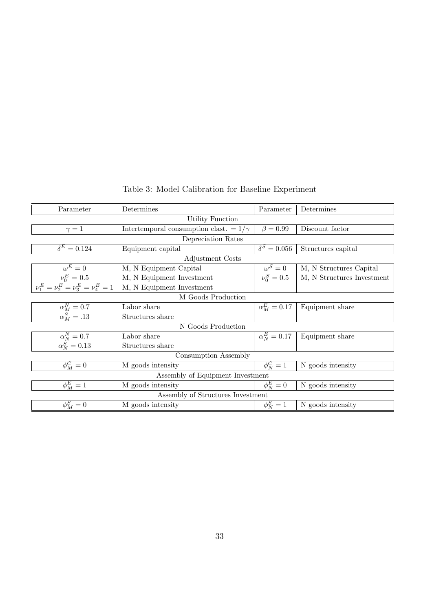| Parameter                                   | Determines                                    | Parameter           | Determines                 |  |  |  |
|---------------------------------------------|-----------------------------------------------|---------------------|----------------------------|--|--|--|
| Utility Function                            |                                               |                     |                            |  |  |  |
| $\gamma=1$                                  | Intertemporal consumption elast. $= 1/\gamma$ | $\beta = 0.99$      | Discount factor            |  |  |  |
| Depreciation Rates                          |                                               |                     |                            |  |  |  |
| $\delta^E = 0.124$                          | Equipment capital                             | $\delta^S=0.056$    | Structures capital         |  |  |  |
| Adjustment Costs                            |                                               |                     |                            |  |  |  |
| $\omega^E=0$                                | M, N Equipment Capital                        | $\omega^S=0$        | M, N Structures Capital    |  |  |  |
| $\nu_0^E = 0.5$                             | M, N Equipment Investment                     | $\nu_0^S = 0.5$     | M, N Structures Investment |  |  |  |
| $\nu_1^E = \nu_2^E = \nu_3^E = \nu_4^E = 1$ | M, N Equipment Investment                     |                     |                            |  |  |  |
| M Goods Production                          |                                               |                     |                            |  |  |  |
| $\alpha_M^N=0.7$                            | Labor share                                   | $\alpha_M^E=0.17$   | Equipment share            |  |  |  |
| $\alpha_M^S = .13$                          | Structures share                              |                     |                            |  |  |  |
| N Goods Production                          |                                               |                     |                            |  |  |  |
| $\alpha_N^N=0.7$                            | Labor share                                   | $\alpha_N^E = 0.17$ | Equipment share            |  |  |  |
| $\alpha_N^S=0.13$                           | Structures share                              |                     |                            |  |  |  |
| Consumption Assembly                        |                                               |                     |                            |  |  |  |
| $\phi_M^C=0$                                | M goods intensity                             | $\phi_N^C=1$        | N goods intensity          |  |  |  |
| Assembly of Equipment Investment            |                                               |                     |                            |  |  |  |
| $\phi_M^E=1$                                | M goods intensity                             | $\phi_N^E=0$        | N goods intensity          |  |  |  |
| Assembly of Structures Investment           |                                               |                     |                            |  |  |  |
| $\phi_M^S=0$                                | M goods intensity                             | $\phi_N^S=1$        | N goods intensity          |  |  |  |

Table 3: Model Calibration for Baseline Experiment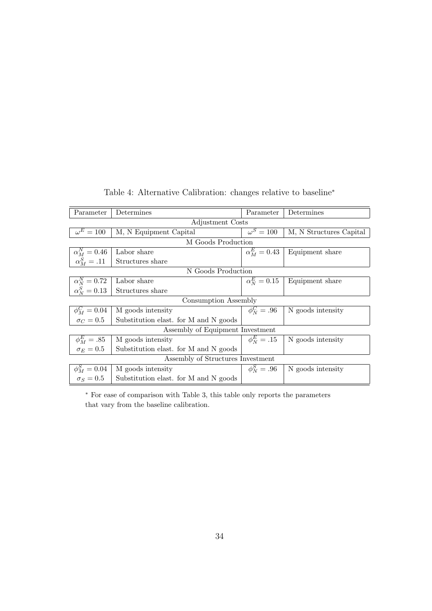| Parameter                         | Determines                            | Parameter                 | Determines              |  |  |
|-----------------------------------|---------------------------------------|---------------------------|-------------------------|--|--|
| Adjustment Costs                  |                                       |                           |                         |  |  |
| $\overline{\omega^E} = 100$       | M, N Equipment Capital                | $\overline{\omega}^S=100$ | M, N Structures Capital |  |  |
| M Goods Production                |                                       |                           |                         |  |  |
| $\alpha_M^N=0.46$                 | Labor share                           | $\alpha_M^E=0.43$         | Equipment share         |  |  |
| $\alpha_M^S = .11$                | Structures share                      |                           |                         |  |  |
| N Goods Production                |                                       |                           |                         |  |  |
| $\alpha_N^N=0.72$                 | Labor share                           | $\alpha_N^E=0.15$         | Equipment share         |  |  |
| $\alpha_N^S=0.13$                 | Structures share                      |                           |                         |  |  |
| Consumption Assembly              |                                       |                           |                         |  |  |
| $\phi_{M}^{C} = 0.04$             | M goods intensity                     | $\phi^C_N = .96$          | N goods intensity       |  |  |
| $\sigma_C=0.5$                    | Substitution elast. for M and N goods |                           |                         |  |  |
| Assembly of Equipment Investment  |                                       |                           |                         |  |  |
| $\phi_M^E = .85$                  | M goods intensity                     | $\phi_N^E = .15$          | N goods intensity       |  |  |
| $\sigma_E = 0.5$                  | Substitution elast. for M and N goods |                           |                         |  |  |
| Assembly of Structures Investment |                                       |                           |                         |  |  |
| $\phi^S_M = 0.04$                 | M goods intensity                     | $\phi^S_{N} = .96$        | N goods intensity       |  |  |
| $\sigma_S=0.5$                    | Substitution elast. for M and N goods |                           |                         |  |  |

Table 4: Alternative Calibration: changes relative to baseline<sup>∗</sup>

<sup>∗</sup> For ease of comparison with Table 3, this table only reports the parameters that vary from the baseline calibration.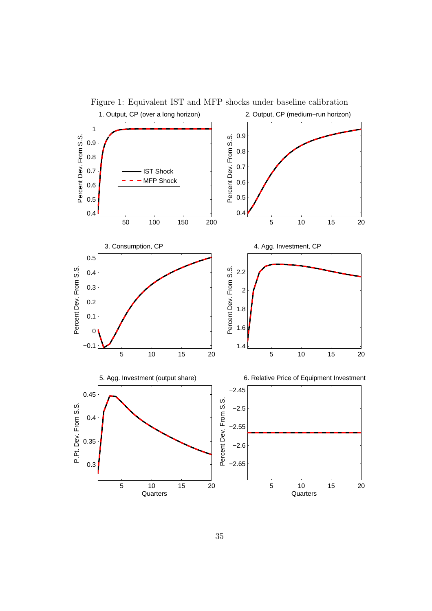

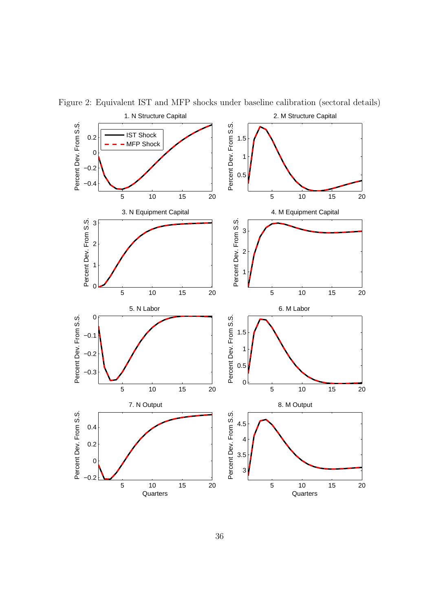

Figure 2: Equivalent IST and MFP shocks under baseline calibration (sectoral details)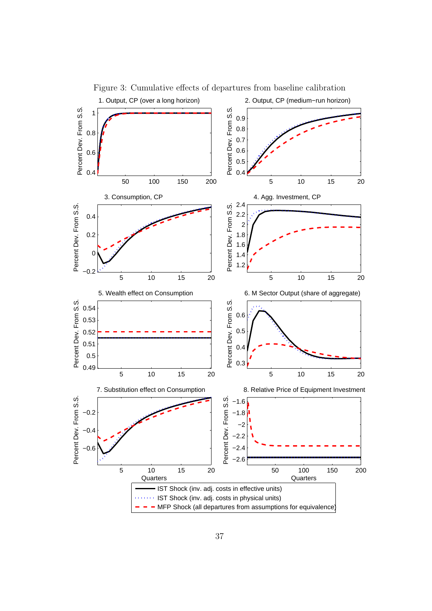![](_page_37_Figure_0.jpeg)

Figure 3: Cumulative effects of departures from baseline calibration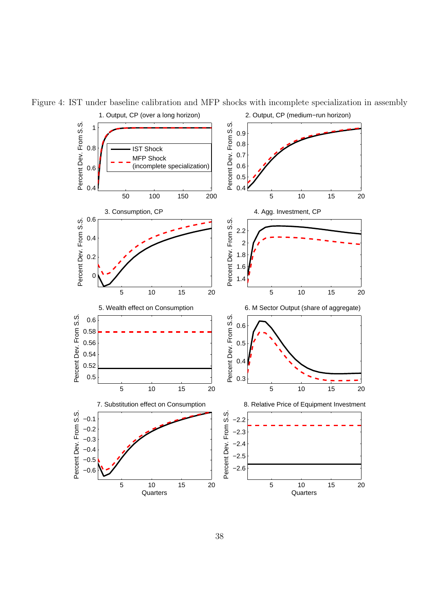![](_page_38_Figure_0.jpeg)

Figure 4: IST under baseline calibration and MFP shocks with incomplete specialization in assembly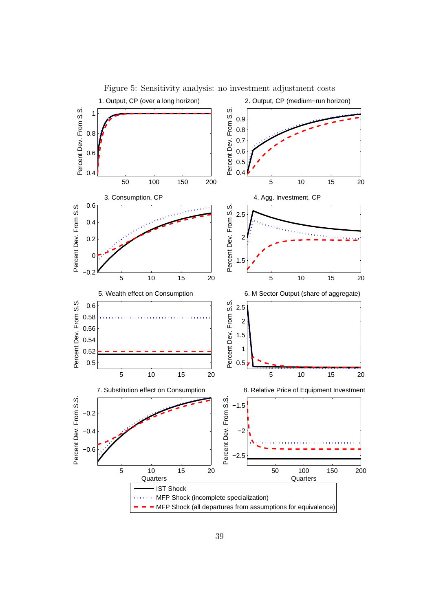![](_page_39_Figure_0.jpeg)

Figure 5: Sensitivity analysis: no investment adjustment costs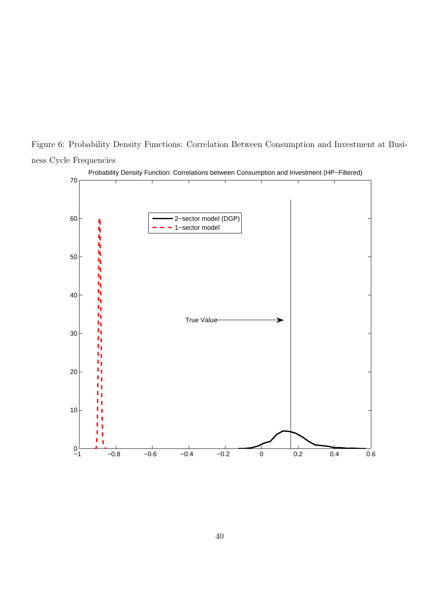Figure 6: Probability Density Functions: Correlation Between Consumption and Investment at Business Cycle Frequencies

![](_page_40_Figure_1.jpeg)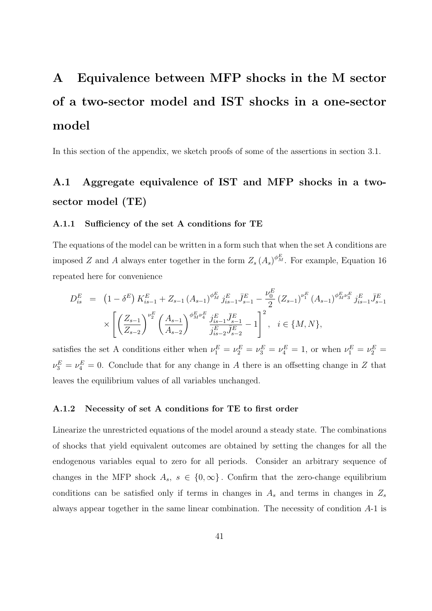# A Equivalence between MFP shocks in the M sector of a two-sector model and IST shocks in a one-sector model

In this section of the appendix, we sketch proofs of some of the assertions in section 3.1.

# A.1 Aggregate equivalence of IST and MFP shocks in a twosector model (TE)

#### A.1.1 Sufficiency of the set A conditions for TE

The equations of the model can be written in a form such that when the set A conditions are imposed Z and A always enter together in the form  $Z_s(A_s)^{\phi_M^E}$ . For example, Equation 16 repeated here for convenience

$$
D_{is}^{E} = (1 - \delta^{E}) K_{is-1}^{E} + Z_{s-1} (A_{s-1})^{\phi_{M}^{E}} j_{is-1}^{E} \overline{J}_{s-1}^{E} - \frac{\nu_{0}^{E}}{2} (Z_{s-1})^{\nu_{1}^{E}} (A_{s-1})^{\phi_{M}^{E} \nu_{3}^{E}} j_{is-1}^{E} \overline{J}_{s-1}^{E}
$$
  
 
$$
\times \left[ \left( \frac{Z_{s-1}}{Z_{s-2}} \right)^{\nu_{2}^{E}} \left( \frac{A_{s-1}}{A_{s-2}} \right)^{\phi_{M}^{E} \nu_{4}^{E}} j_{is-1}^{E} \overline{J}_{s-1}^{E} - 1 \right]^{2}, \quad i \in \{M, N\},
$$

satisfies the set A conditions either when  $\nu_1^E = \nu_2^E = \nu_3^E = \nu_4^E = 1$ , or when  $\nu_1^E = \nu_2^E = 1$  $\nu_3^E = \nu_4^E = 0$ . Conclude that for any change in A there is an offsetting change in Z that leaves the equilibrium values of all variables unchanged.

#### A.1.2 Necessity of set A conditions for TE to first order

Linearize the unrestricted equations of the model around a steady state. The combinations of shocks that yield equivalent outcomes are obtained by setting the changes for all the endogenous variables equal to zero for all periods. Consider an arbitrary sequence of changes in the MFP shock  $A_s$ ,  $s \in \{0, \infty\}$ . Confirm that the zero-change equilibrium conditions can be satisfied only if terms in changes in  $A_s$  and terms in changes in  $Z_s$ always appear together in the same linear combination. The necessity of condition A-1 is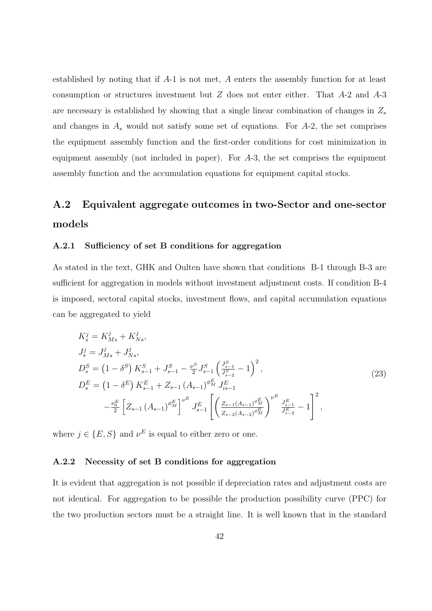established by noting that if A-1 is not met, A enters the assembly function for at least consumption or structures investment but Z does not enter either. That A-2 and A-3 are necessary is established by showing that a single linear combination of changes in  $Z_s$ and changes in  $A_s$  would not satisfy some set of equations. For  $A-2$ , the set comprises the equipment assembly function and the first-order conditions for cost minimization in equipment assembly (not included in paper). For  $A-3$ , the set comprises the equipment assembly function and the accumulation equations for equipment capital stocks.

# A.2 Equivalent aggregate outcomes in two-Sector and one-sector models

#### A.2.1 Sufficiency of set B conditions for aggregation

As stated in the text, GHK and Oulten have shown that conditions B-1 through B-3 are sufficient for aggregation in models without investment adjustment costs. If condition B-4 is imposed, sectoral capital stocks, investment flows, and capital accumulation equations can be aggregated to yield

$$
K_{s}^{j} = K_{Ms}^{j} + K_{Ns}^{j},
$$
  
\n
$$
J_{s}^{j} = J_{Ms}^{j} + J_{Ns}^{j},
$$
  
\n
$$
D_{s}^{S} = (1 - \delta^{S}) K_{s-1}^{S} + J_{s-1}^{S} - \frac{\nu^{S}}{2} J_{s-1}^{S} \left(\frac{J_{s-1}^{S}}{J_{s-2}^{S}} - 1\right)^{2},
$$
  
\n
$$
D_{s}^{E} = (1 - \delta^{E}) K_{s-1}^{E} + Z_{s-1} (A_{s-1})^{\phi_{M}^{E}} J_{is-1}^{E}
$$
  
\n
$$
-\frac{\nu_{0}^{E}}{2} \left[Z_{s-1} (A_{s-1})^{\phi_{M}^{E}}\right]^{\nu^{E}} J_{s-1}^{E} \left[\left(\frac{Z_{s-1} (A_{s-1})^{\phi_{M}^{E}}}{Z_{s-2} (A_{s-2})^{\phi_{M}^{E}}}\right)^{\nu^{E}} \frac{J_{s-1}^{E}}{J_{s-2}^{E}} - 1\right]^{2},
$$
\n(23)

where  $j \in \{E, S\}$  and  $\nu^E$  is equal to either zero or one.

#### A.2.2 Necessity of set B conditions for aggregation

It is evident that aggregation is not possible if depreciation rates and adjustment costs are not identical. For aggregation to be possible the production possibility curve (PPC) for the two production sectors must be a straight line. It is well known that in the standard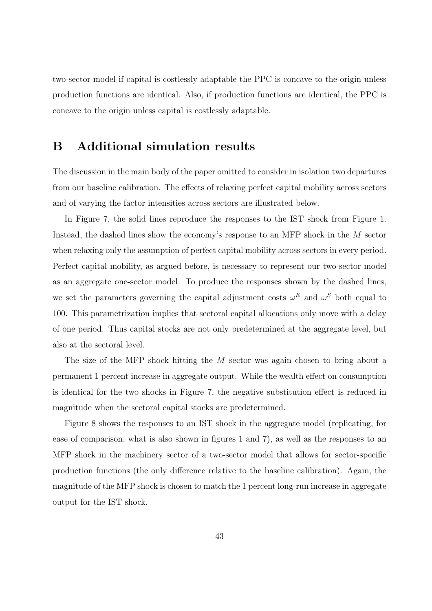two-sector model if capital is costlessly adaptable the PPC is concave to the origin unless production functions are identical. Also, if production functions are identical, the PPC is concave to the origin unless capital is costlessly adaptable.

## B Additional simulation results

The discussion in the main body of the paper omitted to consider in isolation two departures from our baseline calibration. The effects of relaxing perfect capital mobility across sectors and of varying the factor intensities across sectors are illustrated below.

In Figure 7, the solid lines reproduce the responses to the IST shock from Figure 1. Instead, the dashed lines show the economy's response to an MFP shock in the M sector when relaxing only the assumption of perfect capital mobility across sectors in every period. Perfect capital mobility, as argued before, is necessary to represent our two-sector model as an aggregate one-sector model. To produce the responses shown by the dashed lines, we set the parameters governing the capital adjustment costs  $\omega^E$  and  $\omega^S$  both equal to 100. This parametrization implies that sectoral capital allocations only move with a delay of one period. Thus capital stocks are not only predetermined at the aggregate level, but also at the sectoral level.

The size of the MFP shock hitting the M sector was again chosen to bring about a permanent 1 percent increase in aggregate output. While the wealth effect on consumption is identical for the two shocks in Figure 7, the negative substitution effect is reduced in magnitude when the sectoral capital stocks are predetermined.

Figure 8 shows the responses to an IST shock in the aggregate model (replicating, for ease of comparison, what is also shown in figures 1 and 7), as well as the responses to an MFP shock in the machinery sector of a two-sector model that allows for sector-specific production functions (the only difference relative to the baseline calibration). Again, the magnitude of the MFP shock is chosen to match the 1 percent long-run increase in aggregate output for the IST shock.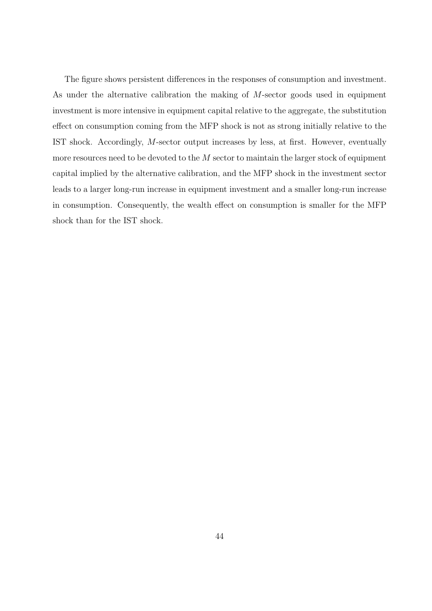The figure shows persistent differences in the responses of consumption and investment. As under the alternative calibration the making of M-sector goods used in equipment investment is more intensive in equipment capital relative to the aggregate, the substitution effect on consumption coming from the MFP shock is not as strong initially relative to the IST shock. Accordingly, M-sector output increases by less, at first. However, eventually more resources need to be devoted to the  $M$  sector to maintain the larger stock of equipment capital implied by the alternative calibration, and the MFP shock in the investment sector leads to a larger long-run increase in equipment investment and a smaller long-run increase in consumption. Consequently, the wealth effect on consumption is smaller for the MFP shock than for the IST shock.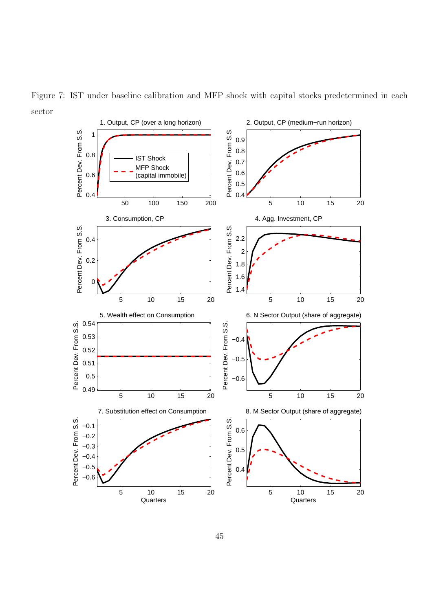![](_page_45_Figure_0.jpeg)

Figure 7: IST under baseline calibration and MFP shock with capital stocks predetermined in each sector